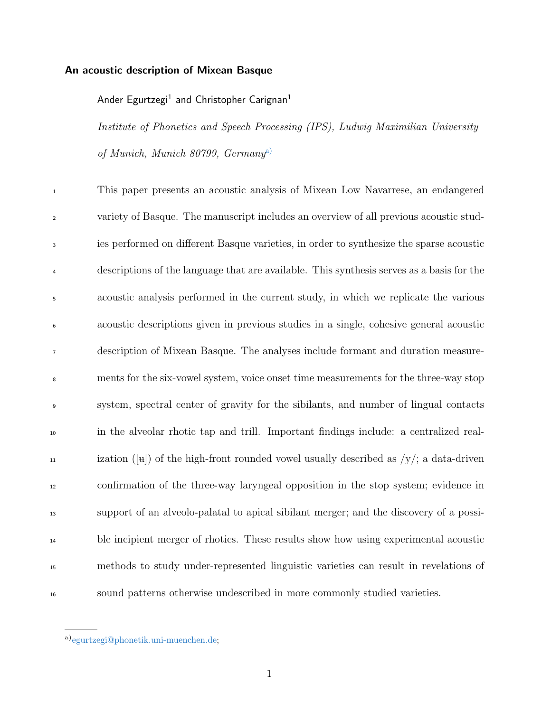# An acoustic description of Mixean Basque

# Ander Egurtzegi $^1$  and Christopher Carignan $^1$

Institute of Phonetics and Speech Processing (IPS), Ludwig Maximilian University of Munich, Munich 80799, Germany[a\)](#page-0-0)

 This paper presents an acoustic analysis of Mixean Low Navarrese, an endangered variety of Basque. The manuscript includes an overview of all previous acoustic stud- ies performed on different Basque varieties, in order to synthesize the sparse acoustic descriptions of the language that are available. This synthesis serves as a basis for the acoustic analysis performed in the current study, in which we replicate the various acoustic descriptions given in previous studies in a single, cohesive general acoustic description of Mixean Basque. The analyses include formant and duration measure- ments for the six-vowel system, voice onset time measurements for the three-way stop system, spectral center of gravity for the sibilants, and number of lingual contacts in the alveolar rhotic tap and trill. Important findings include: a centralized real-<sup>11</sup> ization ([ $\mu$ ]) of the high-front rounded vowel usually described as /y/; a data-driven confirmation of the three-way laryngeal opposition in the stop system; evidence in support of an alveolo-palatal to apical sibilant merger; and the discovery of a possi- ble incipient merger of rhotics. These results show how using experimental acoustic methods to study under-represented linguistic varieties can result in revelations of sound patterns otherwise undescribed in more commonly studied varieties.

<span id="page-0-0"></span>a)[egurtzegi@phonetik.uni-muenchen.de;](mailto:egurtzegi@phonetik.uni-muenchen.de)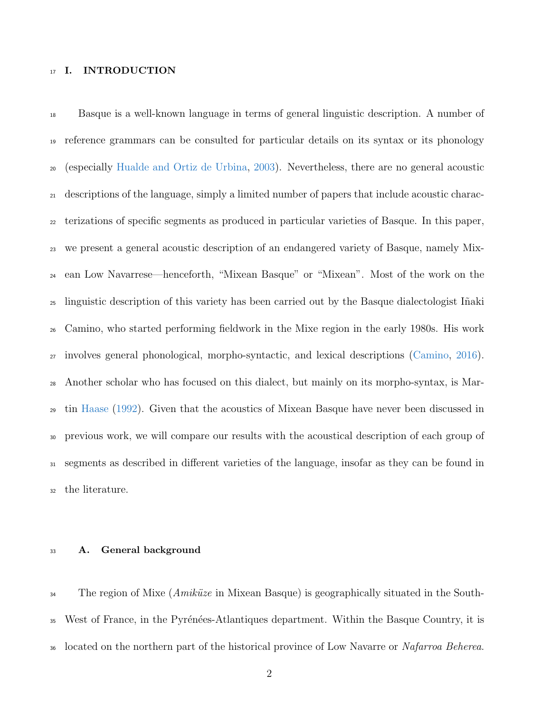## 17 I. INTRODUCTION

 Basque is a well-known language in terms of general linguistic description. A number of reference grammars can be consulted for particular details on its syntax or its phonology (especially [Hualde and Ortiz de Urbina,](#page-41-0) [2003\)](#page-41-0). Nevertheless, there are no general acoustic descriptions of the language, simply a limited number of papers that include acoustic charac- terizations of specific segments as produced in particular varieties of Basque. In this paper, we present a general acoustic description of an endangered variety of Basque, namely Mix- ean Low Navarrese—henceforth, "Mixean Basque" or "Mixean". Most of the work on the linguistic description of this variety has been carried out by the Basque dialectologist I˜naki Camino, who started performing fieldwork in the Mixe region in the early 1980s. His work involves general phonological, morpho-syntactic, and lexical descriptions [\(Camino,](#page-39-0) [2016\)](#page-39-0). Another scholar who has focused on this dialect, but mainly on its morpho-syntax, is Mar- tin [Haase](#page-41-1) [\(1992\)](#page-41-1). Given that the acoustics of Mixean Basque have never been discussed in previous work, we will compare our results with the acoustical description of each group of segments as described in different varieties of the language, insofar as they can be found in the literature.

## A. General background

 The region of Mixe (*Amiküze* in Mixean Basque) is geographically situated in the South-<sup>35</sup> West of France, in the Pyrénées-Atlantiques department. Within the Basque Country, it is <sup>36</sup> located on the northern part of the historical province of Low Navarre or Nafarroa Beherea.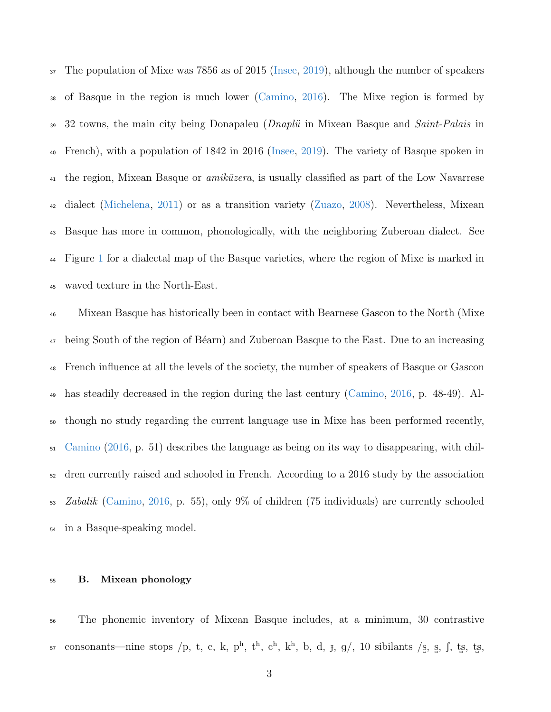The population of Mixe was 7856 as of 2015 [\(Insee,](#page-41-2) [2019\)](#page-41-2), although the number of speakers of Basque in the region is much lower [\(Camino,](#page-39-0) [2016\)](#page-39-0). The Mixe region is formed by  $39\,$  32 towns, the main city being Donapaleu (*Dnaplü* in Mixean Basque and *Saint-Palais* in French), with a population of 1842 in 2016 [\(Insee,](#page-41-2) [2019\)](#page-41-2). The variety of Basque spoken in  $\mu_1$  the region, Mixean Basque or *amiküzera*, is usually classified as part of the Low Navarrese dialect [\(Michelena,](#page-42-0) [2011\)](#page-42-0) or as a transition variety [\(Zuazo,](#page-44-0) [2008\)](#page-44-0). Nevertheless, Mixean Basque has more in common, phonologically, with the neighboring Zuberoan dialect. See Figure [1](#page-3-0) for a dialectal map of the Basque varieties, where the region of Mixe is marked in waved texture in the North-East.

 Mixean Basque has historically been in contact with Bearnese Gascon to the North (Mixe <sup>47</sup> being South of the region of Béarn) and Zuberoan Basque to the East. Due to an increasing French influence at all the levels of the society, the number of speakers of Basque or Gascon has steadily decreased in the region during the last century [\(Camino,](#page-39-0) [2016,](#page-39-0) p. 48-49). Al- though no study regarding the current language use in Mixe has been performed recently, [Camino](#page-39-0) [\(2016,](#page-39-0) p. 51) describes the language as being on its way to disappearing, with chil- dren currently raised and schooled in French. According to a 2016 study by the association Zabalik [\(Camino,](#page-39-0) [2016,](#page-39-0) p. 55), only 9% of children (75 individuals) are currently schooled in a Basque-speaking model.

## <span id="page-2-0"></span>B. Mixean phonology

 The phonemic inventory of Mixean Basque includes, at a minimum, 30 contrastive 57 consonants—nine stops /p, t, c, k, p<sup>h</sup>, t<sup>h</sup>, c<sup>h</sup>, k<sup>h</sup>, b, d, j, g/, 10 sibilants /s, s, f, ts, ts,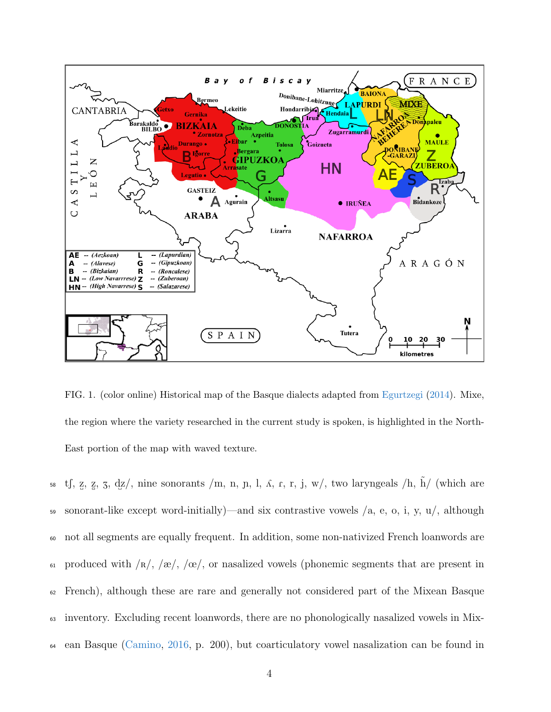

<span id="page-3-0"></span>FIG. 1. (color online) Historical map of the Basque dialects adapted from [Egurtzegi](#page-39-1) [\(2014\)](#page-39-1). Mixe, the region where the variety researched in the current study is spoken, is highlighted in the North-East portion of the map with waved texture.

58 t<br/>f, z, z, 3, dz/, nine sonorants /m, n, n, l,  $\Lambda$ , r, <br/>r, j, w/, two laryngeals /h,  $\tilde{h}/$  (which are 59 sonorant-like except word-initially)—and six contrastive vowels  $/a$ , e, o, i, y, u/, although <sup>60</sup> not all segments are equally frequent. In addition, some non-nativized French loanwords are 61 produced with  $\sqrt{\kappa}/\sqrt{\kappa}$ ,  $\sqrt{\kappa}/\sqrt{\kappa}$ , or nasalized vowels (phonemic segments that are present in <sup>62</sup> French), although these are rare and generally not considered part of the Mixean Basque <sup>63</sup> inventory. Excluding recent loanwords, there are no phonologically nasalized vowels in Mix-<sup>64</sup> ean Basque [\(Camino,](#page-39-0) [2016,](#page-39-0) p. 200), but coarticulatory vowel nasalization can be found in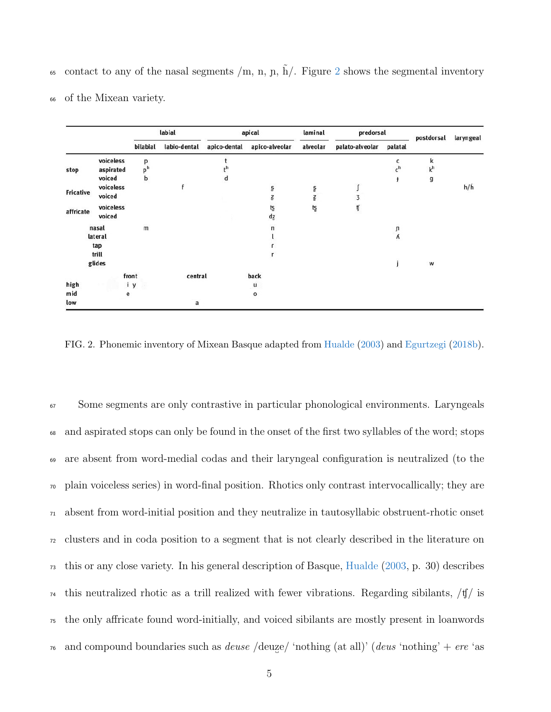65 contact to any of the nasal segments  $/m$ , n, n,  $\tilde{h}$ . Figure [2](#page-4-0) shows the segmental inventory

|  |  |  | <sup>66</sup> of the Mixean variety. |  |
|--|--|--|--------------------------------------|--|
|--|--|--|--------------------------------------|--|

|           |                     |                     | labial         |              | apical                       | laminal  | predorsal       |            | postdorsal          | laryngeal     |
|-----------|---------------------|---------------------|----------------|--------------|------------------------------|----------|-----------------|------------|---------------------|---------------|
|           |                     | bilabial            | labio-dental   | apico-dental | apico-alveolar               | alveolar | palato-alveolar | palatal    |                     |               |
|           | voiceless           | р                   |                |              |                              |          |                 | c<br>$c^h$ | k<br>k <sup>h</sup> |               |
| stop      | aspirated<br>voiced | p <sup>h</sup><br>b |                | d            |                              |          |                 | ł          | g                   |               |
| Fricative | voiceless           |                     |                |              | S                            | ole Na   |                 |            |                     | $h/\tilde{h}$ |
|           | voiced              |                     |                |              | Ţ                            |          | 3               |            |                     |               |
| affricate | voiceless<br>voiced |                     |                |              | ţŞ<br>$\mathsf{d}\mathsf{z}$ | tş       | ij              |            |                     |               |
|           | nasal               | $\mathsf{m}$        |                |              | n                            |          |                 | ŋ          |                     |               |
|           | lateral             |                     |                |              |                              |          |                 | ٨          |                     |               |
|           | tap                 |                     |                |              |                              |          |                 |            |                     |               |
|           | trill               |                     |                |              |                              |          |                 |            |                     |               |
|           | glides              |                     |                |              |                              |          |                 |            | W                   |               |
|           |                     | front               | central        |              | back                         |          |                 |            |                     |               |
| high      |                     | iy                  |                |              | u                            |          |                 |            |                     |               |
| mid       | е                   |                     |                |              | 0                            |          |                 |            |                     |               |
| low       |                     |                     | $\overline{a}$ |              |                              |          |                 |            |                     |               |

<span id="page-4-0"></span>FIG. 2. Phonemic inventory of Mixean Basque adapted from [Hualde](#page-41-3) [\(2003\)](#page-41-3) and [Egurtzegi](#page-39-2) [\(2018b\)](#page-39-2).

 Some segments are only contrastive in particular phonological environments. Laryngeals and aspirated stops can only be found in the onset of the first two syllables of the word; stops are absent from word-medial codas and their laryngeal configuration is neutralized (to the plain voiceless series) in word-final position. Rhotics only contrast intervocallically; they are absent from word-initial position and they neutralize in tautosyllabic obstruent-rhotic onset clusters and in coda position to a segment that is not clearly described in the literature on this or any close variety. In his general description of Basque, [Hualde](#page-41-3) [\(2003,](#page-41-3) p. 30) describes <sup>74</sup> this neutralized rhotic as a trill realized with fewer vibrations. Regarding sibilants,  $/\frac{t}{y}$  is the only affricate found word-initially, and voiced sibilants are mostly present in loanwords <sup>76</sup> and compound boundaries such as *deuse* /deuze/ 'nothing (at all)' (*deus* 'nothing' + ere 'as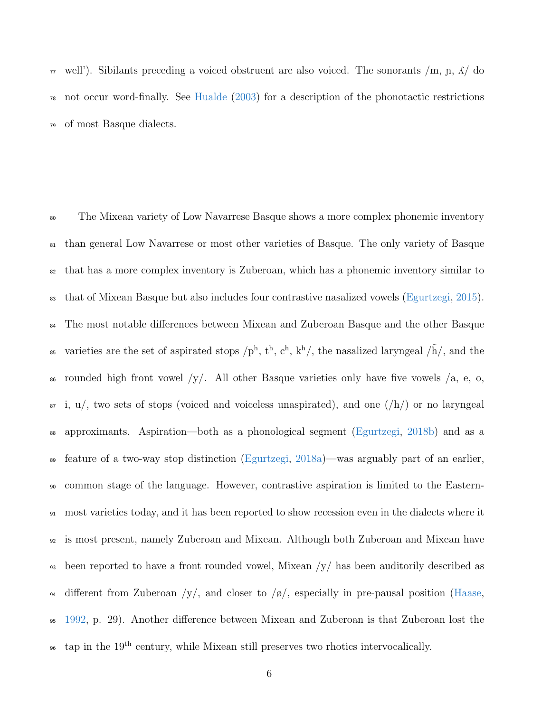$\pi$  well'). Sibilants preceding a voiced obstruent are also voiced. The sonorants /m, n,  $\Lambda$ / do <sup>78</sup> not occur word-finally. See [Hualde](#page-41-3) [\(2003\)](#page-41-3) for a description of the phonotactic restrictions <sup>79</sup> of most Basque dialects.

<sup>80</sup> The Mixean variety of Low Navarrese Basque shows a more complex phonemic inventory <sup>81</sup> than general Low Navarrese or most other varieties of Basque. The only variety of Basque <sup>82</sup> that has a more complex inventory is Zuberoan, which has a phonemic inventory similar to <sup>83</sup> that of Mixean Basque but also includes four contrastive nasalized vowels [\(Egurtzegi,](#page-39-3) [2015\)](#page-39-3). <sup>84</sup> The most notable differences between Mixean and Zuberoan Basque and the other Basque <sup>85</sup> varieties are the set of aspirated stops  $/p<sup>h</sup>$ ,  $t<sup>h</sup>$ ,  $c<sup>h</sup>$ ,  $k<sup>h</sup>$ , the nasalized laryngeal  $/\tilde{h}/$ , and the  $\frac{1}{86}$  rounded high front vowel /y/. All other Basque varieties only have five vowels /a, e, o,  $\mathfrak{so}$  i,  $\mathfrak{u}/\mathfrak{g}$  two sets of stops (voiced and voiceless unaspirated), and one  $(\mathfrak{h}/\mathfrak{h})$  or no laryngeal <sup>88</sup> approximants. Aspiration—both as a phonological segment [\(Egurtzegi,](#page-39-2) [2018b\)](#page-39-2) and as a <sup>89</sup> feature of a two-way stop distinction [\(Egurtzegi,](#page-39-4) [2018a\)](#page-39-4)—was arguably part of an earlier, <sup>90</sup> common stage of the language. However, contrastive aspiration is limited to the Eastern-<sup>91</sup> most varieties today, and it has been reported to show recession even in the dialects where it <sup>92</sup> is most present, namely Zuberoan and Mixean. Although both Zuberoan and Mixean have 93 been reported to have a front rounded vowel, Mixean  $/y/$  has been auditorily described as  $\frac{94}{4}$  different from Zuberoan /y/, and closer to /ø/, especially in pre-pausal position [\(Haase,](#page-41-1) <sup>95</sup> [1992,](#page-41-1) p. 29). Another difference between Mixean and Zuberoan is that Zuberoan lost the <sup>96</sup> tap in the 19<sup>th</sup> century, while Mixean still preserves two rhotics intervocalically.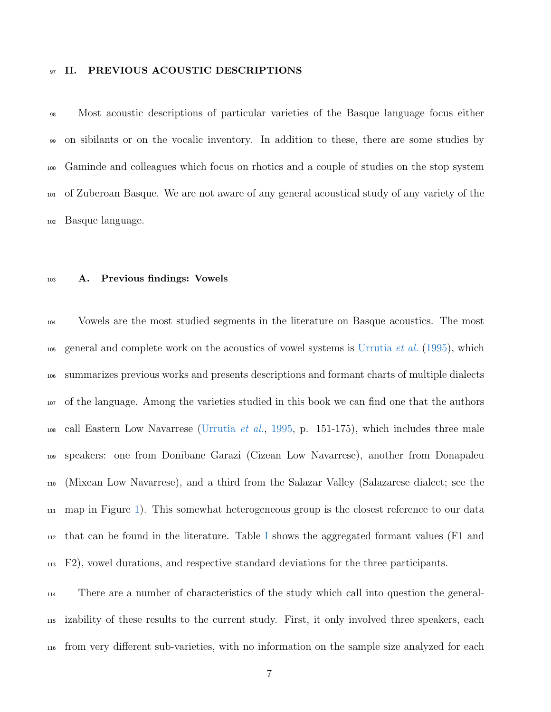### 97 II. PREVIOUS ACOUSTIC DESCRIPTIONS

 Most acoustic descriptions of particular varieties of the Basque language focus either on sibilants or on the vocalic inventory. In addition to these, there are some studies by Gaminde and colleagues which focus on rhotics and a couple of studies on the stop system of Zuberoan Basque. We are not aware of any general acoustical study of any variety of the Basque language.

## <span id="page-6-0"></span>A. Previous findings: Vowels

 Vowels are the most studied segments in the literature on Basque acoustics. The most 105 general and complete work on the acoustics of vowel systems is [Urrutia](#page-44-1) *et al.* [\(1995\)](#page-44-1), which summarizes previous works and presents descriptions and formant charts of multiple dialects of the language. Among the varieties studied in this book we can find one that the authors call Eastern Low Navarrese [\(Urrutia](#page-44-1) *et al.*, [1995,](#page-44-1) p. 151-175), which includes three male speakers: one from Donibane Garazi (Cizean Low Navarrese), another from Donapaleu (Mixean Low Navarrese), and a third from the Salazar Valley (Salazarese dialect; see the map in Figure [1\)](#page-3-0). This somewhat heterogeneous group is the closest reference to our data  $_{112}$  that can be found in the literature. Table [I](#page-7-0) shows the aggregated formant values (F1 and F2), vowel durations, and respective standard deviations for the three participants.

 There are a number of characteristics of the study which call into question the general- izability of these results to the current study. First, it only involved three speakers, each from very different sub-varieties, with no information on the sample size analyzed for each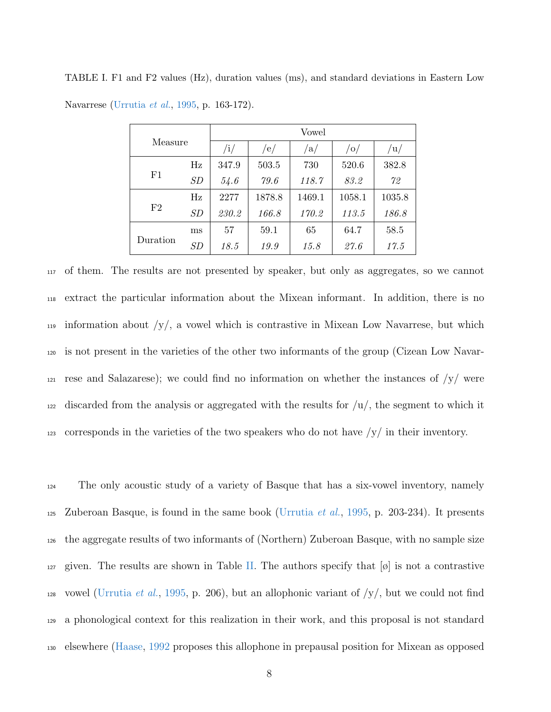|          | Measure |       | Vowel  |        |        |        |  |  |  |  |  |  |
|----------|---------|-------|--------|--------|--------|--------|--|--|--|--|--|--|
|          |         | /i/   | /e/    | a/     | /O/    | /u/    |  |  |  |  |  |  |
|          | Hz      | 347.9 | 503.5  | 730    | 520.6  | 382.8  |  |  |  |  |  |  |
| F1       | SD      | 54.6  | 79.6   | 118.7  | 83.2   | 72     |  |  |  |  |  |  |
|          | Hz      | 2277  | 1878.8 | 1469.1 | 1058.1 | 1035.8 |  |  |  |  |  |  |
| F2       | SD      | 230.2 | 166.8  | 170.2  | 113.5  | 186.8  |  |  |  |  |  |  |
|          | ms      | 57    | 59.1   | 65     | 64.7   | 58.5   |  |  |  |  |  |  |
| Duration | SD      | 18.5  | 19.9   | 15.8   | 27.6   | 17.5   |  |  |  |  |  |  |

<span id="page-7-0"></span>TABLE I. F1 and F2 values (Hz), duration values (ms), and standard deviations in Eastern Low Navarrese [\(Urrutia](#page-44-1) et al., [1995,](#page-44-1) p. 163-172).

<sup>117</sup> of them. The results are not presented by speaker, but only as aggregates, so we cannot <sup>118</sup> extract the particular information about the Mixean informant. In addition, there is no 119 information about  $/y/$ , a vowel which is contrastive in Mixean Low Navarrese, but which <sup>120</sup> is not present in the varieties of the other two informants of the group (Cizean Low Navar-121 rese and Salazarese); we could find no information on whether the instances of  $/y/$  were  $122$  discarded from the analysis or aggregated with the results for  $\mu/$ , the segment to which it <sup>123</sup> corresponds in the varieties of the two speakers who do not have /y/ in their inventory.

<sup>124</sup> The only acoustic study of a variety of Basque that has a six-vowel inventory, namely <sup>125</sup> Zuberoan Basque, is found in the same book [\(Urrutia](#page-44-1) *et al.*, [1995,](#page-44-1) p. 203-234). It presents <sup>126</sup> the aggregate results of two informants of (Northern) Zuberoan Basque, with no sample size 127 given. The results are shown in Table [II.](#page-8-0) The authors specify that  $|\phi|$  is not a contrastive 128 vowel [\(Urrutia](#page-44-1) et al., [1995,](#page-44-1) p. 206), but an allophonic variant of  $/y/$ , but we could not find <sup>129</sup> a phonological context for this realization in their work, and this proposal is not standard <sup>130</sup> elsewhere [\(Haase,](#page-41-1) [1992](#page-41-1) proposes this allophone in prepausal position for Mixean as opposed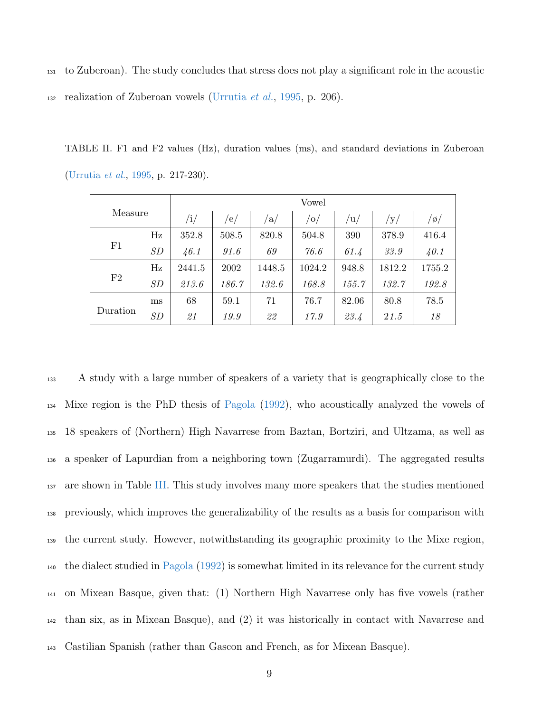<sup>131</sup> to Zuberoan). The study concludes that stress does not play a significant role in the acoustic

132 realization of Zuberoan vowels [\(Urrutia](#page-44-1) *et al.*, [1995,](#page-44-1) p. 206).

<span id="page-8-0"></span>TABLE II. F1 and F2 values (Hz), duration values (ms), and standard deviations in Zuberoan [\(Urrutia](#page-44-1) et al., [1995,](#page-44-1) p. 217-230).

|          | Measure |           | Vowel |              |        |               |        |                     |  |  |  |  |  |
|----------|---------|-----------|-------|--------------|--------|---------------|--------|---------------------|--|--|--|--|--|
|          |         | $\rm /i/$ | 'e/   | $\sqrt{a/2}$ | 'O/    | $\mathbf{u}/$ | y/     | $\frac{1}{\varphi}$ |  |  |  |  |  |
|          | Hz      | 352.8     | 508.5 | 820.8        | 504.8  | 390           | 378.9  | 416.4               |  |  |  |  |  |
| F1       | SD      | 46.1      | 91.6  | 69           | 76.6   | 61.4          | 33.9   | 40.1                |  |  |  |  |  |
|          | Hz      | 2441.5    | 2002  | 1448.5       | 1024.2 | 948.8         | 1812.2 | 1755.2              |  |  |  |  |  |
| F2       | SD      | 213.6     | 186.7 | 132.6        | 168.8  | 155.7         | 132.7  | 192.8               |  |  |  |  |  |
|          | ms      | 68        | 59.1  | 71           | 76.7   | 82.06         | 80.8   | 78.5                |  |  |  |  |  |
| Duration | SD      | 21        | 19.9  | 22           | 17.9   | 23.4          | 21.5   | 18                  |  |  |  |  |  |

 A study with a large number of speakers of a variety that is geographically close to the Mixe region is the PhD thesis of [Pagola](#page-43-0) [\(1992\)](#page-43-0), who acoustically analyzed the vowels of 18 speakers of (Northern) High Navarrese from Baztan, Bortziri, and Ultzama, as well as a speaker of Lapurdian from a neighboring town (Zugarramurdi). The aggregated results <sup>137</sup> are shown in Table [III.](#page-9-0) This study involves many more speakers that the studies mentioned previously, which improves the generalizability of the results as a basis for comparison with the current study. However, notwithstanding its geographic proximity to the Mixe region, the dialect studied in [Pagola](#page-43-0) [\(1992\)](#page-43-0) is somewhat limited in its relevance for the current study on Mixean Basque, given that: (1) Northern High Navarrese only has five vowels (rather than six, as in Mixean Basque), and (2) it was historically in contact with Navarrese and Castilian Spanish (rather than Gascon and French, as for Mixean Basque).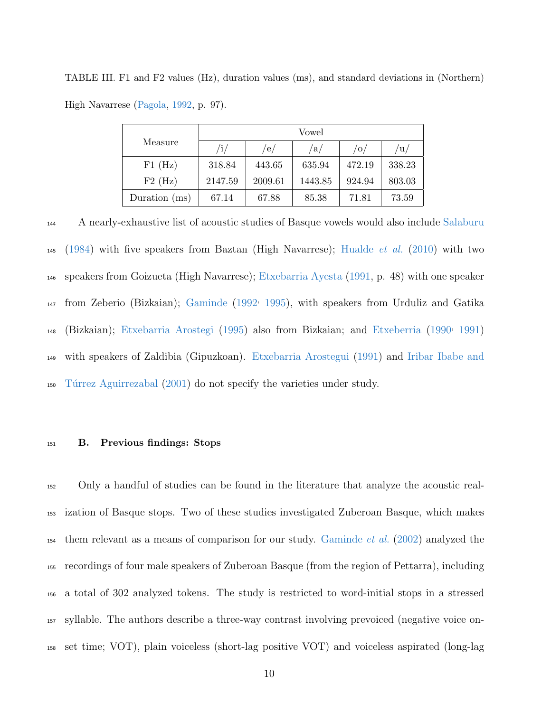|                 |         | Vowel   |         |        |            |  |  |  |  |  |  |
|-----------------|---------|---------|---------|--------|------------|--|--|--|--|--|--|
| Measure         | /i/     | /e/     | /a/     | /0/    | $\sqrt{u}$ |  |  |  |  |  |  |
| $F1$ (Hz)       | 318.84  | 443.65  | 635.94  | 472.19 | 338.23     |  |  |  |  |  |  |
| $F2$ (Hz)       | 2147.59 | 2009.61 | 1443.85 | 924.94 | 803.03     |  |  |  |  |  |  |
| Duration $(ms)$ | 67.14   | 67.88   | 85.38   | 71.81  | 73.59      |  |  |  |  |  |  |

<span id="page-9-0"></span>TABLE III. F1 and F2 values (Hz), duration values (ms), and standard deviations in (Northern) High Navarrese [\(Pagola,](#page-43-0) [1992,](#page-43-0) p. 97).

<sup>144</sup> A nearly-exhaustive list of acoustic studies of Basque vowels would also include [Salaburu](#page-43-1) 145 [\(1984\)](#page-43-1) with five speakers from Baztan (High Navarrese); [Hualde](#page-41-4) *et al.* [\(2010\)](#page-41-4) with two <sup>146</sup> speakers from Goizueta (High Navarrese); [Etxebarria Ayesta](#page-40-0) [\(1991,](#page-40-0) p. 48) with one speaker 147 from Zeberio (Bizkaian); [Gaminde](#page-40-1) [\(1992](#page-40-1)<sup>,</sup> [1995\)](#page-40-2), with speakers from Urduliz and Gatika 148 (Bizkaian); [Etxebarria Arostegi](#page-39-5) [\(1995\)](#page-39-5) also from Bizkaian; and [Etxeberria](#page-40-3) [\(1990](#page-40-3)<sup>,</sup> [1991\)](#page-40-4) <sup>149</sup> [w](#page-42-1)ith speakers of Zaldibia (Gipuzkoan). [Etxebarria Arostegui](#page-39-6) [\(1991\)](#page-39-6) and [Iribar Ibabe and](#page-42-1) <sup>150</sup> [T´urrez Aguirrezabal](#page-42-1) [\(2001\)](#page-42-1) do not specify the varieties under study.

## <sup>151</sup> B. Previous findings: Stops

 Only a handful of studies can be found in the literature that analyze the acoustic real- ization of Basque stops. Two of these studies investigated Zuberoan Basque, which makes them relevant as a means of comparison for our study. [Gaminde](#page-40-5) *et al.* [\(2002\)](#page-40-5) analyzed the recordings of four male speakers of Zuberoan Basque (from the region of Pettarra), including a total of 302 analyzed tokens. The study is restricted to word-initial stops in a stressed syllable. The authors describe a three-way contrast involving prevoiced (negative voice on-set time; VOT), plain voiceless (short-lag positive VOT) and voiceless aspirated (long-lag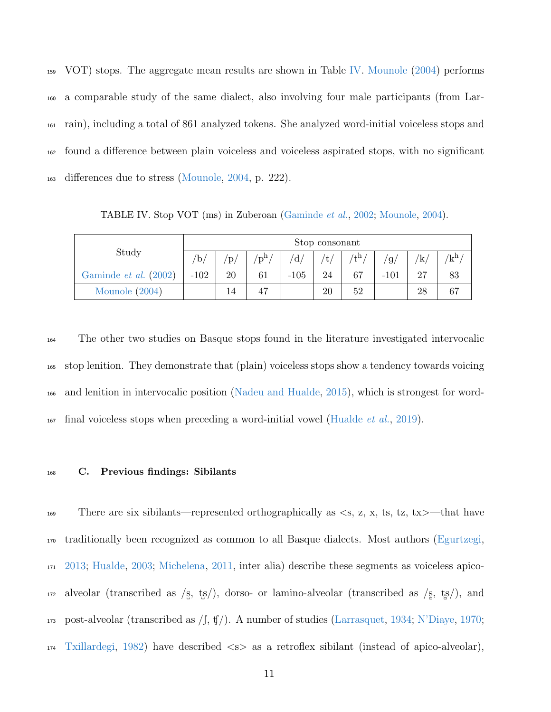VOT) stops. The aggregate mean results are shown in Table [IV.](#page-10-0) [Mounole](#page-42-2) [\(2004\)](#page-42-2) performs a comparable study of the same dialect, also involving four male participants (from Lar- rain), including a total of 861 analyzed tokens. She analyzed word-initial voiceless stops and found a difference between plain voiceless and voiceless aspirated stops, with no significant differences due to stress [\(Mounole,](#page-42-2) [2004,](#page-42-2) p. 222).

<span id="page-10-0"></span>TABLE IV. Stop VOT (ms) in Zuberoan [\(Gaminde](#page-40-5) et al., [2002;](#page-40-5) [Mounole,](#page-42-2) [2004\)](#page-42-2).

| Study                 |                       | Stop consonant      |          |        |      |             |                       |     |                          |  |  |
|-----------------------|-----------------------|---------------------|----------|--------|------|-------------|-----------------------|-----|--------------------------|--|--|
|                       | $\mathrm{^{\prime}b}$ | $\mathbf{p}_{\ell}$ | $/p^{h}$ |        | 't / | $t^{\rm h}$ | $\mathfrak{g}_{\ell}$ | 'k/ | $'\mathrm{k}^\mathrm{h}$ |  |  |
| Gaminde et al. (2002) | $-102$                | 20                  | 61       | $-105$ | 24   | 67          | $-101$                | 27  | 83                       |  |  |
| Mounole (2004)        |                       |                     |          |        | 20   | 52          |                       | 28  |                          |  |  |

 The other two studies on Basque stops found in the literature investigated intervocalic stop lenition. They demonstrate that (plain) voiceless stops show a tendency towards voicing and lenition in intervocalic position [\(Nadeu and Hualde,](#page-43-2) [2015\)](#page-43-2), which is strongest for word-final voiceless stops when preceding a word-initial vowel [\(Hualde](#page-41-5) *et al.*, [2019\)](#page-41-5).

### <sup>168</sup> C. Previous findings: Sibilants

169 There are six sibilants—represented orthographically as  $\langle s, z, x, ts, tz, tx \rangle$ —that have <sup>170</sup> traditionally been recognized as common to all Basque dialects. Most authors [\(Egurtzegi,](#page-39-7) <sup>171</sup> [2013;](#page-39-7) [Hualde,](#page-41-3) [2003;](#page-41-3) [Michelena,](#page-42-0) [2011,](#page-42-0) inter alia) describe these segments as voiceless apico-172 alveolar (transcribed as  $\frac{s}{s}$ , ts<sup> $\frac{s}{s}$ </sup>), dorso- or lamino-alveolar (transcribed as  $\frac{s}{s}$ , ts<sup> $\frac{s}{s}$ </sup>), and 173 post-alveolar (transcribed as  $/f$ ,  $f/$ ). A number of studies [\(Larrasquet,](#page-42-3) [1934;](#page-42-3) [N'Diaye,](#page-43-3) [1970;](#page-43-3) <sup>174</sup> [Txillardegi,](#page-43-4) [1982\)](#page-43-4) have described <s> as a retroflex sibilant (instead of apico-alveolar),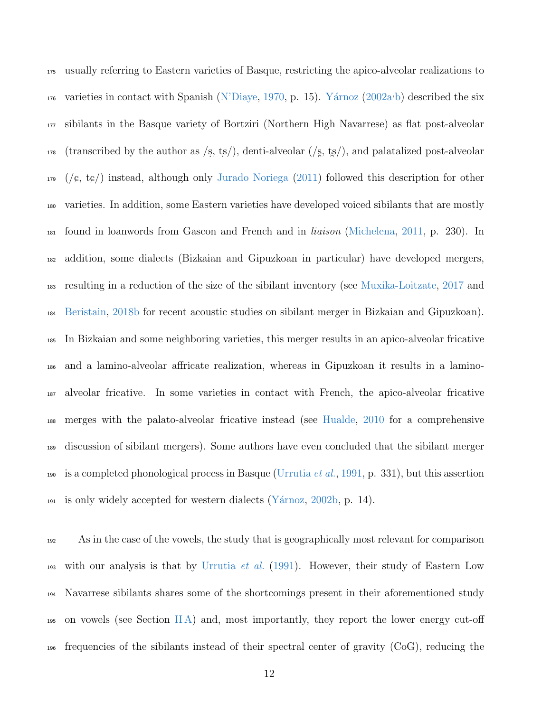usually referring to Eastern varieties of Basque, restricting the apico-alveolar realizations to varieties in contact with Spanish [\(N'Diaye,](#page-43-3) [1970,](#page-43-3) p. 15). Yárnoz  $(2002a\cdot b)$  $(2002a\cdot b)$  $(2002a\cdot b)$  described the six sibilants in the Basque variety of Bortziri (Northern High Navarrese) as flat post-alveolar (transcribed by the author as /s ˙ , ts ˙  $\frac{1}{178}$  (transcribed by the author as /s, ts/), denti-alveolar (/s, ts/), and palatalized post-alveolar  $(2011)$  followed this description for other varieties. In addition, some Eastern varieties have developed voiced sibilants that are mostly found in loanwords from Gascon and French and in liaison [\(Michelena,](#page-42-0) [2011,](#page-42-0) p. 230). In addition, some dialects (Bizkaian and Gipuzkoan in particular) have developed mergers, resulting in a reduction of the size of the sibilant inventory (see [Muxika-Loitzate,](#page-43-5) [2017](#page-43-5) and [Beristain,](#page-38-0) [2018b](#page-38-0) for recent acoustic studies on sibilant merger in Bizkaian and Gipuzkoan). In Bizkaian and some neighboring varieties, this merger results in an apico-alveolar fricative and a lamino-alveolar affricate realization, whereas in Gipuzkoan it results in a lamino- alveolar fricative. In some varieties in contact with French, the apico-alveolar fricative merges with the palato-alveolar fricative instead (see [Hualde,](#page-41-6) [2010](#page-41-6) for a comprehensive discussion of sibilant mergers). Some authors have even concluded that the sibilant merger 190 is a completed phonological process in Basque [\(Urrutia](#page-44-4) *et al.*, [1991,](#page-44-4) p. 331), but this assertion 191 is only widely accepted for western dialects (Yárnoz, [2002b,](#page-44-3) p. 14).

 As in the case of the vowels, the study that is geographically most relevant for comparison 193 with our analysis is that by [Urrutia](#page-44-4) *et al.* [\(1991\)](#page-44-4). However, their study of Eastern Low Navarrese sibilants shares some of the shortcomings present in their aforementioned study on vowels (see Section [II A\)](#page-6-0) and, most importantly, they report the lower energy cut-off frequencies of the sibilants instead of their spectral center of gravity (CoG), reducing the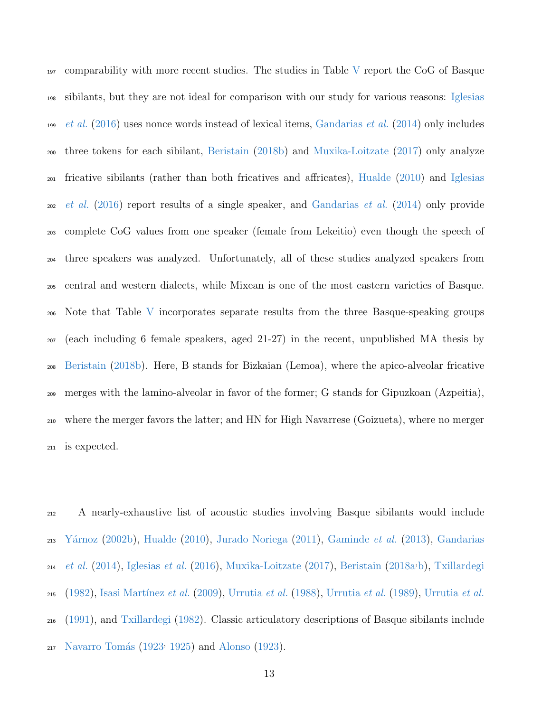comparability with more recent studies. The studies in Table [V](#page-13-0) report the CoG of Basque [s](#page-41-7)ibilants, but they are not ideal for comparison with our study for various reasons: [Iglesias](#page-41-7) [et al.](#page-41-7) [\(2016\)](#page-41-7) uses nonce words instead of lexical items, [Gandarias](#page-41-8) et al. [\(2014\)](#page-41-8) only includes three tokens for each sibilant, [Beristain](#page-38-0) [\(2018b\)](#page-38-0) and [Muxika-Loitzate](#page-43-5) [\(2017\)](#page-43-5) only analyze [f](#page-41-7)ricative sibilants (rather than both fricatives and affricates), [Hualde](#page-41-6) [\(2010\)](#page-41-6) and [Iglesias](#page-41-7) [et al.](#page-41-7) [\(2016\)](#page-41-7) report results of a single speaker, and [Gandarias](#page-41-8) et al. [\(2014\)](#page-41-8) only provide complete CoG values from one speaker (female from Lekeitio) even though the speech of three speakers was analyzed. Unfortunately, all of these studies analyzed speakers from central and western dialects, while Mixean is one of the most eastern varieties of Basque. Note that Table [V](#page-13-0) incorporates separate results from the three Basque-speaking groups (each including 6 female speakers, aged 21-27) in the recent, unpublished MA thesis by [Beristain](#page-38-0) [\(2018b\)](#page-38-0). Here, B stands for Bizkaian (Lemoa), where the apico-alveolar fricative merges with the lamino-alveolar in favor of the former; G stands for Gipuzkoan (Azpeitia), where the merger favors the latter; and HN for High Navarrese (Goizueta), where no merger is expected.

 A nearly-exhaustive list of acoustic studies involving Basque sibilants would include  $_{213}$  Yárnoz [\(2002b\)](#page-44-3), [Hualde](#page-41-6) [\(2010\)](#page-41-6), [Jurado Noriega](#page-42-4) [\(2011\)](#page-42-4), [Gaminde](#page-40-6) *et al.* [\(2013\)](#page-40-6), [Gandarias](#page-41-8)  $_{214}$  [et al.](#page-41-8) [\(2014\)](#page-41-8), [Iglesias](#page-41-7) et al. [\(2016\)](#page-41-7), [Muxika-Loitzate](#page-43-5) [\(2017\)](#page-43-5), [Beristain](#page-38-1) [\(2018a](#page-38-1)<sup>,</sup>[b\)](#page-38-0), [Txillardegi](#page-43-4) [\(1982\)](#page-43-4), Isasi Martínez et al. [\(2009\)](#page-42-5), [Urrutia](#page-44-4) et al. [\(1988\)](#page-43-6), Urrutia et al. [\(1989\)](#page-44-5), Urrutia et al. [\(1991\)](#page-44-4), and [Txillardegi](#page-43-4) [\(1982\)](#page-43-4). Classic articulatory descriptions of Basque sibilants include 217 Navarro Tomás [\(1923](#page-43-7)<sup>,</sup> [1925\)](#page-43-8) and [Alonso](#page-38-2) [\(1923\)](#page-38-2).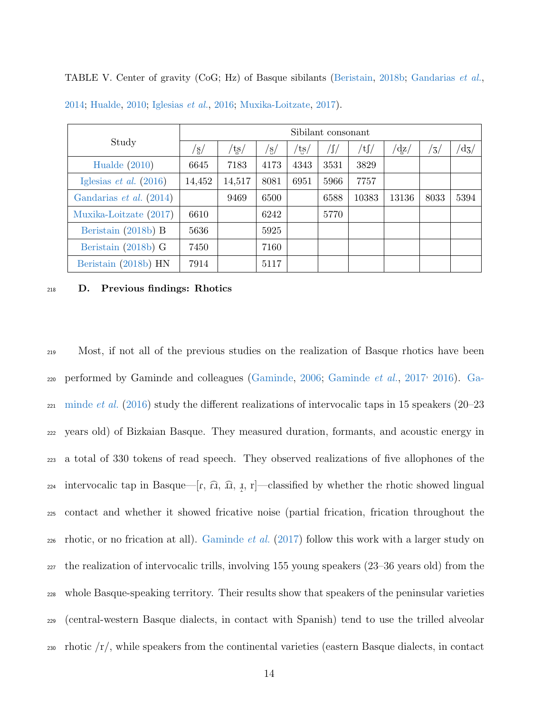|                                  |                |               |                |              | Sibilant consonant |         |              |                |               |
|----------------------------------|----------------|---------------|----------------|--------------|--------------------|---------|--------------|----------------|---------------|
| Study                            | $^{\prime}$ s/ | $/t_{\rm S/}$ | $^{\prime}$ s/ | $t_{\rm S/}$ | /∫                 | $/t$ ∫/ | $d_{\rm z}/$ | $^{\prime}$ 3/ | $\rm{d_{3}/}$ |
| Hualde $(2010)$                  | 6645           | 7183          | 4173           | 4343         | 3531               | 3829    |              |                |               |
| Iglesias <i>et al.</i> $(2016)$  | 14,452         | 14,517        | 8081           | 6951         | 5966               | 7757    |              |                |               |
| Gandarias <i>et al.</i> $(2014)$ |                | 9469          | 6500           |              | 6588               | 10383   | 13136        | 8033           | 5394          |
| Muxika-Loitzate (2017)           | 6610           |               | 6242           |              | 5770               |         |              |                |               |
| Beristain (2018b) B              | 5636           |               | 5925           |              |                    |         |              |                |               |
| Beristain (2018b) G              | 7450           |               | 7160           |              |                    |         |              |                |               |
| Beristain (2018b) HN             | 7914           |               | 5117           |              |                    |         |              |                |               |

<span id="page-13-0"></span>TABLE V. Center of gravity (CoG; Hz) of Basque sibilants [\(Beristain,](#page-38-0) [2018b;](#page-38-0) [Gandarias](#page-41-8) et al.,

[2014;](#page-41-8) [Hualde,](#page-41-6) [2010;](#page-41-6) [Iglesias](#page-41-7) et al., [2016;](#page-41-7) [Muxika-Loitzate,](#page-43-5) [2017\)](#page-43-5).

#### <sup>218</sup> D. Previous findings: Rhotics

<sup>219</sup> Most, if not all of the previous studies on the realization of Basque rhotics have been <sub>220</sub> [p](#page-40-9)erformed by Gaminde and colleagues [\(Gaminde,](#page-40-7) [2006;](#page-40-7) [Gaminde](#page-40-8) et al., [2017](#page-40-8)<sup>,</sup> [2016\)](#page-40-9). [Ga-](#page-40-9) $_{221}$  [minde](#page-40-9) *et al.* [\(2016\)](#page-40-9) study the different realizations of intervocalic taps in 15 speakers (20–23) <sup>222</sup> years old) of Bizkaian Basque. They measured duration, formants, and acoustic energy in <sup>223</sup> a total of 330 tokens of read speech. They observed realizations of five allophones of the  $\sum_{224}$  intervocalic tap in Basque—[r,  $\widehat{x}$ ,  $\widehat{x}$ ,  $\widehat{x}$ ,  $\widehat{x}$ ,  $\widehat{x}$ ,  $\widehat{x}$ ,  $\widehat{x}$ ,  $\widehat{x}$ ,  $\widehat{x}$ ,  $\widehat{x}$ ,  $\widehat{x}$ ,  $\widehat{x}$ ,  $\widehat{x}$ ) whether the rhotic showed lingual <sup>225</sup> contact and whether it showed fricative noise (partial frication, frication throughout the  $_{226}$  rhotic, or no frication at all). [Gaminde](#page-40-8) *et al.* [\(2017\)](#page-40-8) follow this work with a larger study on <sup>227</sup> the realization of intervocalic trills, involving 155 young speakers (23–36 years old) from the <sup>228</sup> whole Basque-speaking territory. Their results show that speakers of the peninsular varieties <sup>229</sup> (central-western Basque dialects, in contact with Spanish) tend to use the trilled alveolar  $_{230}$  rhotic  $\langle r \rangle$ , while speakers from the continental varieties (eastern Basque dialects, in contact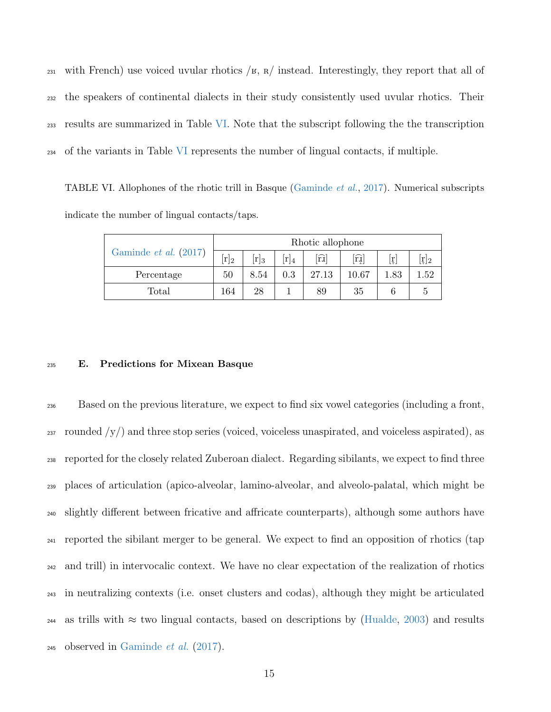231 with French) use voiced uvular rhotics  $/k$ ,  $\frac{R}{m}$  instead. Interestingly, they report that all of the speakers of continental dialects in their study consistently used uvular rhotics. Their results are summarized in Table [VI.](#page-14-0) Note that the subscript following the the transcription of the variants in Table [VI](#page-14-0) represents the number of lingual contacts, if multiple.

<span id="page-14-0"></span>TABLE VI. Allophones of the rhotic trill in Basque [\(Gaminde](#page-40-8) et al., [2017\)](#page-40-8). Numerical subscripts indicate the number of lingual contacts/taps.

|                                | Rhotic allophone |         |        |                                    |       |          |                                 |  |  |  |
|--------------------------------|------------------|---------|--------|------------------------------------|-------|----------|---------------------------------|--|--|--|
| Gaminde <i>et al.</i> $(2017)$ | $[r]_2$          | $[r]_3$ | $r _4$ | $[\widehat{\mathrm{r}\mathrm{u}}]$ | ĥÌ    | lŗ.      | $\lfloor \frac{r}{r} \rfloor$ 2 |  |  |  |
| Percentage                     | 50               | 8.54    | 0.3    | 27.13                              | 10.67 | $1.83\,$ | 1.52                            |  |  |  |
| Total                          | 164              | 28      |        | 89                                 | 35    |          |                                 |  |  |  |

#### <sup>235</sup> E. Predictions for Mixean Basque

 Based on the previous literature, we expect to find six vowel categories (including a front,  $_{237}$  rounded  $/y/$ ) and three stop series (voiced, voiceless unaspirated, and voiceless aspirated), as reported for the closely related Zuberoan dialect. Regarding sibilants, we expect to find three places of articulation (apico-alveolar, lamino-alveolar, and alveolo-palatal, which might be slightly different between fricative and affricate counterparts), although some authors have reported the sibilant merger to be general. We expect to find an opposition of rhotics (tap and trill) in intervocalic context. We have no clear expectation of the realization of rhotics in neutralizing contexts (i.e. onset clusters and codas), although they might be articulated 244 as trills with  $\approx$  two lingual contacts, based on descriptions by [\(Hualde,](#page-41-3) [2003\)](#page-41-3) and results 245 observed in [Gaminde](#page-40-8) *et al.*  $(2017)$ .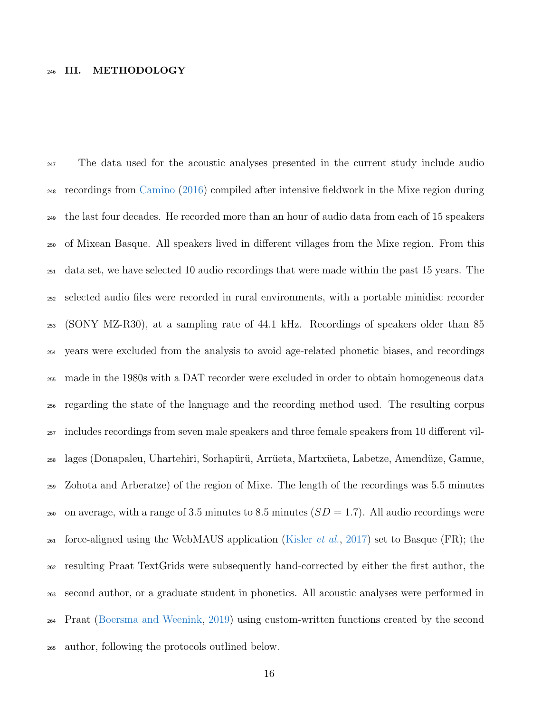## III. METHODOLOGY

<sup>247</sup> The data used for the acoustic analyses presented in the current study include audio recordings from [Camino](#page-39-0) [\(2016\)](#page-39-0) compiled after intensive fieldwork in the Mixe region during the last four decades. He recorded more than an hour of audio data from each of 15 speakers of Mixean Basque. All speakers lived in different villages from the Mixe region. From this data set, we have selected 10 audio recordings that were made within the past 15 years. The selected audio files were recorded in rural environments, with a portable minidisc recorder (SONY MZ-R30), at a sampling rate of 44.1 kHz. Recordings of speakers older than 85 years were excluded from the analysis to avoid age-related phonetic biases, and recordings made in the 1980s with a DAT recorder were excluded in order to obtain homogeneous data regarding the state of the language and the recording method used. The resulting corpus includes recordings from seven male speakers and three female speakers from 10 different vil-<sup>258</sup> lages (Donapaleu, Uhartehiri, Sorhapürü, Arrüeta, Martxüeta, Labetze, Amendüze, Gamue, Zohota and Arberatze) of the region of Mixe. The length of the recordings was 5.5 minutes <sub>260</sub> on average, with a range of 3.5 minutes to 8.5 minutes  $(SD = 1.7)$ . All audio recordings were <sub>261</sub> force-aligned using the WebMAUS application [\(Kisler](#page-42-6) *et al.*, [2017\)](#page-42-6) set to Basque (FR); the resulting Praat TextGrids were subsequently hand-corrected by either the first author, the second author, or a graduate student in phonetics. All acoustic analyses were performed in Praat [\(Boersma and Weenink,](#page-39-8) [2019\)](#page-39-8) using custom-written functions created by the second author, following the protocols outlined below.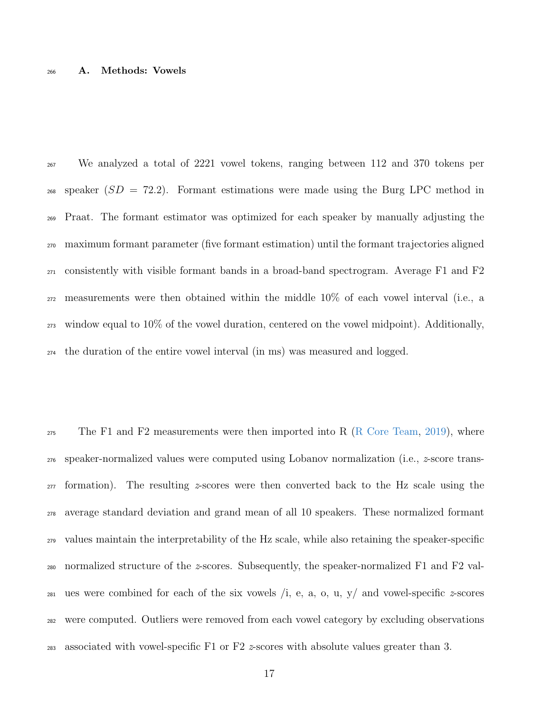### A. Methods: Vowels

 We analyzed a total of 2221 vowel tokens, ranging between 112 and 370 tokens per speaker  $(SD = 72.2)$ . Formant estimations were made using the Burg LPC method in Praat. The formant estimator was optimized for each speaker by manually adjusting the maximum formant parameter (five formant estimation) until the formant trajectories aligned consistently with visible formant bands in a broad-band spectrogram. Average F1 and F2 measurements were then obtained within the middle 10% of each vowel interval (i.e., a window equal to 10% of the vowel duration, centered on the vowel midpoint). Additionally, the duration of the entire vowel interval (in ms) was measured and logged.

 $_{275}$  The F1 and F2 measurements were then imported into R [\(R Core Team,](#page-43-9) [2019\)](#page-43-9), where 276 speaker-normalized values were computed using Lobanov normalization (i.e.,  $z$ -score trans- $_{277}$  formation). The resulting z-scores were then converted back to the Hz scale using the average standard deviation and grand mean of all 10 speakers. These normalized formant values maintain the interpretability of the Hz scale, while also retaining the speaker-specific 280 normalized structure of the z-scores. Subsequently, the speaker-normalized F1 and F2 val-281 ues were combined for each of the six vowels  $\ell$ , e, a, o, u, y $\ell$  and vowel-specific z-scores were computed. Outliers were removed from each vowel category by excluding observations 283 associated with vowel-specific F1 or F2  $\approx$  scores with absolute values greater than 3.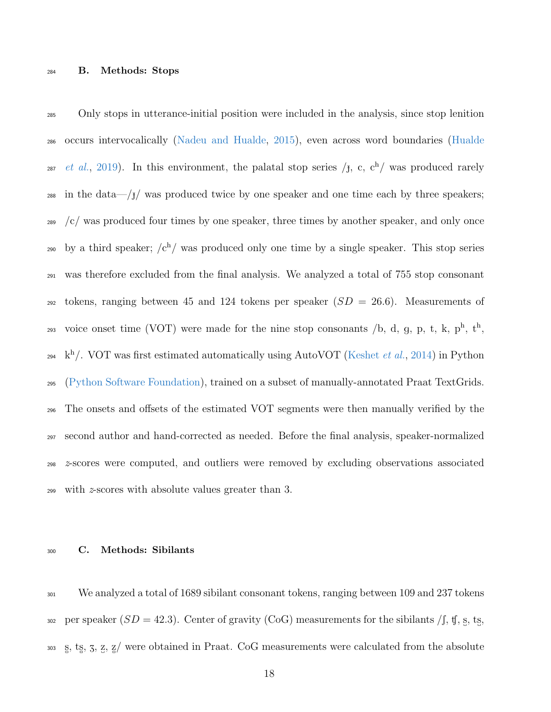Only stops in utterance-initial position were included in the analysis, since stop lenition [o](#page-41-5)ccurs intervocalically [\(Nadeu and Hualde,](#page-43-2) [2015\)](#page-43-2), even across word boundaries [\(Hualde](#page-41-5) <sup>287</sup> *[et al.](#page-41-5)*, [2019\)](#page-41-5). In this environment, the palatal stop series  $\langle \mathbf{f}, \mathbf{c}, \mathbf{c}^{\text{h}} \rangle$  was produced rarely in the data—/ $\frac{1}{3}$  was produced twice by one speaker and one time each by three speakers; /c/ was produced four times by one speaker, three times by another speaker, and only once by a third speaker;  $\sqrt{c^h}$  was produced only one time by a single speaker. This stop series was therefore excluded from the final analysis. We analyzed a total of 755 stop consonant <sub>292</sub> tokens, ranging between 45 and 124 tokens per speaker  $(SD = 26.6)$ . Measurements of 293 voice onset time (VOT) were made for the nine stop consonants /b, d, g, p, t, k,  $p^h$ ,  $t^h$ ,  $k^h$ . VOT was first estimated automatically using AutoVOT [\(Keshet](#page-42-7) *et al.*, [2014\)](#page-42-7) in Python [\(Python Software Foundation\)](#page-43-10), trained on a subset of manually-annotated Praat TextGrids. The onsets and offsets of the estimated VOT segments were then manually verified by the second author and hand-corrected as needed. Before the final analysis, speaker-normalized z-scores were computed, and outliers were removed by excluding observations associated with z-scores with absolute values greater than 3.

#### C. Methods: Sibilants

 We analyzed a total of 1689 sibilant consonant tokens, ranging between 109 and 237 tokens 302 per speaker  $(SD = 42.3)$ . Center of gravity (CoG) measurements for the sibilants /f, tf, s, ts. 303  $\,$  s, ts, z, z, z/ were obtained in Praat. CoG measurements were calculated from the absolute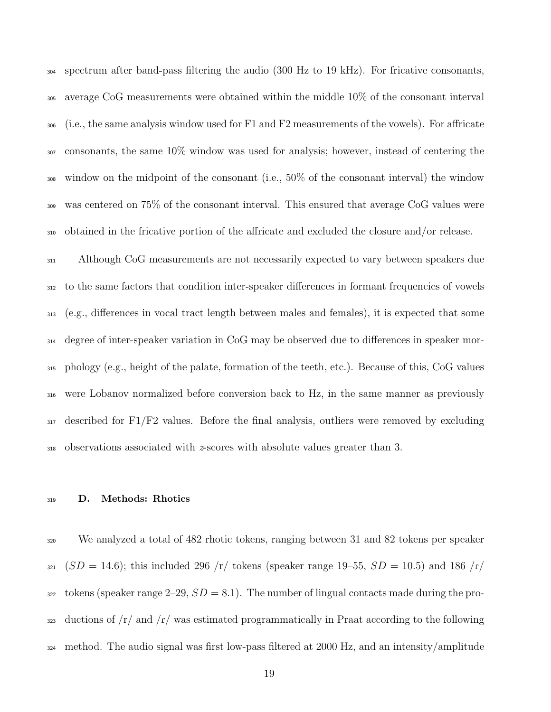spectrum after band-pass filtering the audio (300 Hz to 19 kHz). For fricative consonants, average CoG measurements were obtained within the middle 10% of the consonant interval (i.e., the same analysis window used for F1 and F2 measurements of the vowels). For affricate consonants, the same 10% window was used for analysis; however, instead of centering the window on the midpoint of the consonant (i.e., 50% of the consonant interval) the window was centered on 75% of the consonant interval. This ensured that average CoG values were obtained in the fricative portion of the affricate and excluded the closure and/or release.

 Although CoG measurements are not necessarily expected to vary between speakers due to the same factors that condition inter-speaker differences in formant frequencies of vowels (e.g., differences in vocal tract length between males and females), it is expected that some degree of inter-speaker variation in CoG may be observed due to differences in speaker mor- phology (e.g., height of the palate, formation of the teeth, etc.). Because of this, CoG values were Lobanov normalized before conversion back to Hz, in the same manner as previously  $_{317}$  described for F1/F2 values. Before the final analysis, outliers were removed by excluding observations associated with z-scores with absolute values greater than 3.

## D. Methods: Rhotics

 We analyzed a total of 482 rhotic tokens, ranging between 31 and 82 tokens per speaker  $(SD = 14.6)$ ; this included 296 /r/ tokens (speaker range 19–55,  $SD = 10.5$ ) and 186 /r/ tokens (speaker range  $2-29$ ,  $SD = 8.1$ ). The number of lingual contacts made during the pro- $\frac{323}{223}$  ductions of  $\frac{r}{\tan \theta}$  and  $\frac{r}{\tan \theta}$  was estimated programmatically in Praat according to the following method. The audio signal was first low-pass filtered at 2000 Hz, and an intensity/amplitude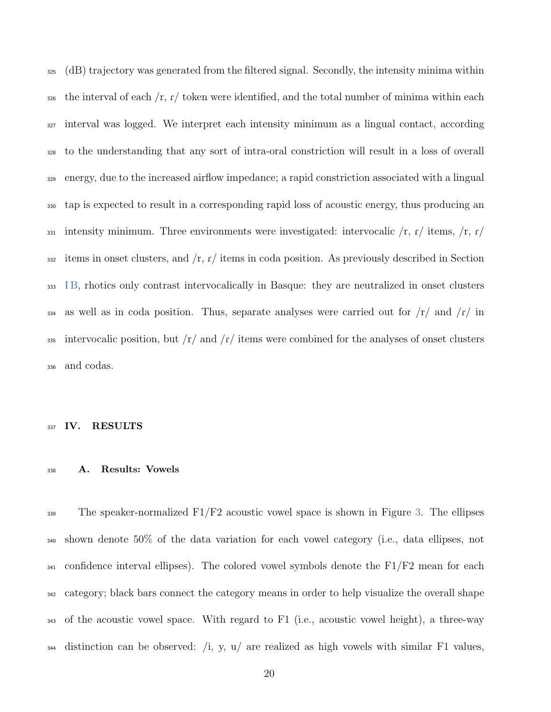(dB) trajectory was generated from the filtered signal. Secondly, the intensity minima within the interval of each  $/r$ ,  $r/$  token were identified, and the total number of minima within each interval was logged. We interpret each intensity minimum as a lingual contact, according to the understanding that any sort of intra-oral constriction will result in a loss of overall energy, due to the increased airflow impedance; a rapid constriction associated with a lingual tap is expected to result in a corresponding rapid loss of acoustic energy, thus producing an 331 intensity minimum. Three environments were investigated: intervocalic  $\langle r, r \rangle$  items,  $\langle r, r \rangle$  items in onset clusters, and  $\Gamma$ ,  $\Gamma$  items in coda position. As previously described in Section [I B,](#page-2-0) rhotics only contrast intervocalically in Basque: they are neutralized in onset clusters 334 as well as in coda position. Thus, separate analyses were carried out for  $/r/$  and  $/r/$  in 335 intervocalic position, but  $\frac{r}{\pi}$  and  $\frac{r}{\pi}$  items were combined for the analyses of onset clusters and codas.

#### 337 IV. RESULTS

## A. Results: Vowels

 The speaker-normalized F1/F2 acoustic vowel space is shown in Figure [3.](#page-21-0) The ellipses shown denote 50% of the data variation for each vowel category (i.e., data ellipses, not <sup>341</sup> confidence interval ellipses). The colored vowel symbols denote the F1/F2 mean for each category; black bars connect the category means in order to help visualize the overall shape of the acoustic vowel space. With regard to F1 (i.e., acoustic vowel height), a three-way  $_{344}$  distinction can be observed: /i, y, u/ are realized as high vowels with similar F1 values,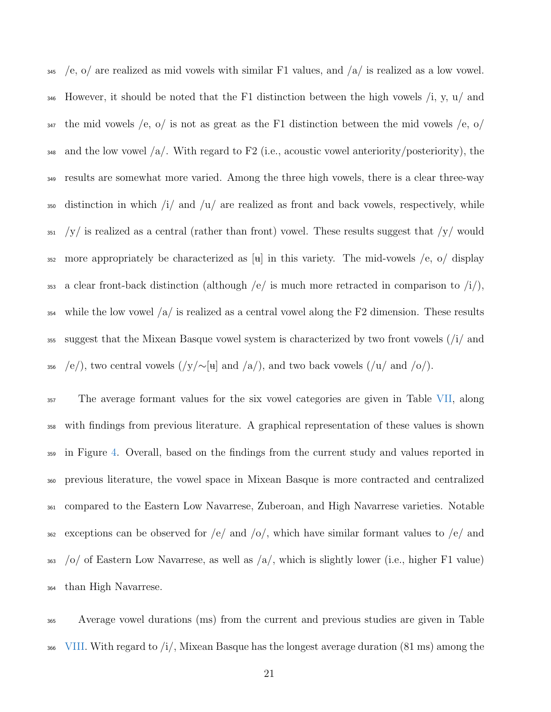$\frac{1}{245}$  /e, o/ are realized as mid vowels with similar F1 values, and  $\frac{1}{2}$  is realized as a low vowel. 346 However, it should be noted that the F1 distinction between the high vowels  $\chi$ , y, u $\chi$  and  $347$  the mid vowels /e, o/ is not as great as the F1 distinction between the mid vowels /e, o/ 348 and the low vowel  $\langle a \rangle$ . With regard to F2 (i.e., acoustic vowel anteriority/posteriority), the <sup>349</sup> results are somewhat more varied. Among the three high vowels, there is a clear three-way  $\frac{350}{250}$  distinction in which /i/ and /u/ are realized as front and back vowels, respectively, while  $351$  /y/ is realized as a central (rather than front) vowel. These results suggest that /y/ would 352 more appropriately be characterized as  $[\mathbf{u}]$  in this variety. The mid-vowels /e, o/ display 353 a clear front-back distinction (although /e/ is much more retracted in comparison to  $\langle i \rangle$ ), <sup>354</sup> while the low vowel  $\langle a \rangle$  is realized as a central vowel along the F2 dimension. These results <sup>355</sup> suggest that the Mixean Basque vowel system is characterized by two front vowels (/i/ and 356 /e/), two central vowels (/y/∼[ $\mu$ ] and /a/), and two back vowels (/u/ and /o/).

 The average formant values for the six vowel categories are given in Table [VII,](#page-22-0) along with findings from previous literature. A graphical representation of these values is shown in Figure [4.](#page-23-0) Overall, based on the findings from the current study and values reported in previous literature, the vowel space in Mixean Basque is more contracted and centralized compared to the Eastern Low Navarrese, Zuberoan, and High Navarrese varieties. Notable 362 exceptions can be observed for  $/e/$  and  $/o/$ , which have similar formant values to  $/e/$  and /o/ of Eastern Low Navarrese, as well as /a/, which is slightly lower (i.e., higher F1 value) than High Navarrese.

<sup>365</sup> Average vowel durations (ms) from the current and previous studies are given in Table  $\frac{1}{366}$  [VIII.](#page-22-1) With regard to /i/, Mixean Basque has the longest average duration (81 ms) among the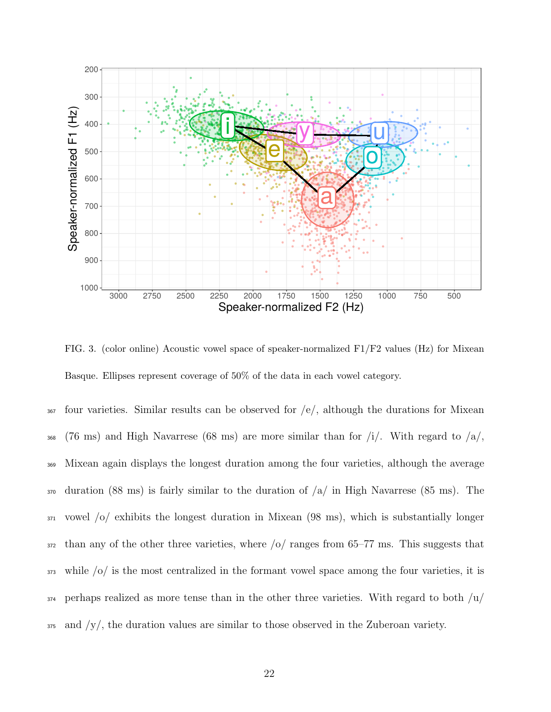

<span id="page-21-0"></span>FIG. 3. (color online) Acoustic vowel space of speaker-normalized F1/F2 values (Hz) for Mixean Basque. Ellipses represent coverage of 50% of the data in each vowel category.

 $_{367}$  four varieties. Similar results can be observed for  $/e/$ , although the durations for Mixean 368 (76 ms) and High Navarrese (68 ms) are more similar than for  $/i$ . With regard to  $/a$ , Mixean again displays the longest duration among the four varieties, although the average duration (88 ms) is fairly similar to the duration of  $\alpha$  in High Navarrese (85 ms). The vowel /o/ exhibits the longest duration in Mixean (98 ms), which is substantially longer than any of the other three varieties, where  $\frac{1}{2}$  ranges from 65–77 ms. This suggests that while /o/ is the most centralized in the formant vowel space among the four varieties, it is perhaps realized as more tense than in the other three varieties. With regard to both  $\mu$ and  $/y/$ , the duration values are similar to those observed in the Zuberoan variety.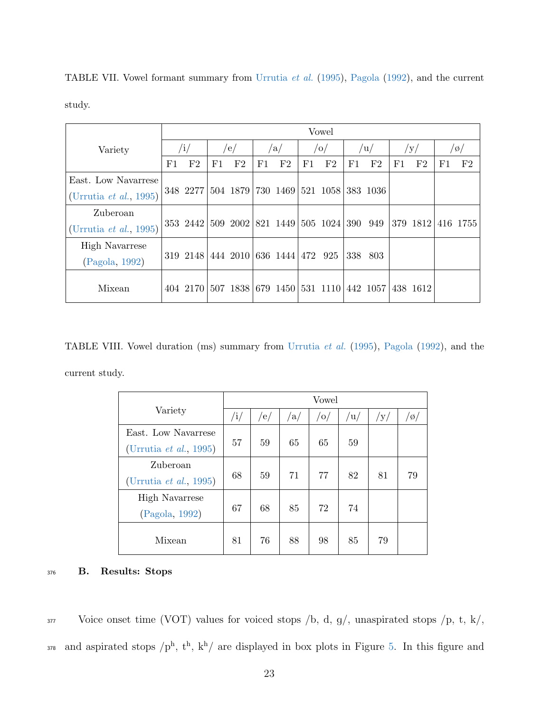|                                |             | Vowel    |     |                                     |    |     |    |                |     |          |    |          |    |                |
|--------------------------------|-------------|----------|-----|-------------------------------------|----|-----|----|----------------|-----|----------|----|----------|----|----------------|
| Variety                        | $\sqrt{i/}$ |          | /e/ |                                     |    | /a/ |    | o              |     | /u/      |    | /y/      |    | /ø/            |
|                                | F1          | F2       | F1  | F2                                  | F1 | F2  | F1 | F <sub>2</sub> | F1  | F2       | F1 | F2       | F1 | F <sub>2</sub> |
| East. Low Navarrese            |             |          |     |                                     |    |     |    |                |     |          |    |          |    |                |
| (Urrutia <i>et al.</i> , 1995) |             | 348 2277 |     | 504 1879 730 1469                   |    |     |    | 521 1058       |     | 383 1036 |    |          |    |                |
| Zuberoan                       |             |          |     |                                     |    |     |    |                |     |          |    |          |    |                |
| (Urrutia <i>et al.</i> , 1995) |             |          |     | 353 2442 509 2002 821 1449 505 1024 |    |     |    |                | 390 | 949      |    | 379 1812 |    | 416 1755       |
| <b>High Navarrese</b>          |             |          |     |                                     |    |     |    |                |     |          |    |          |    |                |
| (Pagola, 1992)                 |             |          |     | 319 2148 444 2010 636 1444 472 925  |    |     |    |                | 338 | 803      |    |          |    |                |
| Mixean                         |             | 404 2170 |     | 507 1838 679 1450                   |    |     |    | 531 1110       |     | 442 1057 |    | 438 1612 |    |                |

<span id="page-22-0"></span>TABLE VII. Vowel formant summary from [Urrutia](#page-44-1) et al. [\(1995\)](#page-44-1), [Pagola](#page-43-0) [\(1992\)](#page-43-0), and the current study.

<span id="page-22-1"></span>TABLE VIII. Vowel duration (ms) summary from [Urrutia](#page-44-1) et al. [\(1995\)](#page-44-1), [Pagola](#page-43-0) [\(1992\)](#page-43-0), and the current study.

|                        |     |                  |    | Vowel          |     |     |     |
|------------------------|-----|------------------|----|----------------|-----|-----|-----|
| Variety                | /i/ | $\left e\right $ | a/ | $\overline{O}$ | /u/ | /у/ | /ø/ |
| East. Low Navarrese    |     |                  |    |                |     |     |     |
| (Urrutia et al., 1995) | 57  | 59               | 65 | 65             | 59  |     |     |
| Zuberoan               |     |                  |    |                |     |     |     |
| (Urrutia et al., 1995) | 68  | 59               | 71 | 77             | 82  | 81  | 79  |
| <b>High Navarrese</b>  |     |                  |    |                |     |     |     |
| (Pagola, 1992)         | 67  | 68               | 85 | 72             | 74  |     |     |
|                        |     |                  |    |                |     |     |     |
| Mixean                 | 81  | 76               | 88 | 98             | 85  | 79  |     |

# <sup>376</sup> B. Results: Stops

377 Voice onset time (VOT) values for voiced stops  $/b$ , d,  $g/$ , unaspirated stops  $/p$ , t, k $/$ ,  $_{378}$  and aspirated stops  $/p<sup>h</sup>$ ,  $t<sup>h</sup>$ ,  $k<sup>h</sup>$  are displayed in box plots in Figure [5.](#page-24-0) In this figure and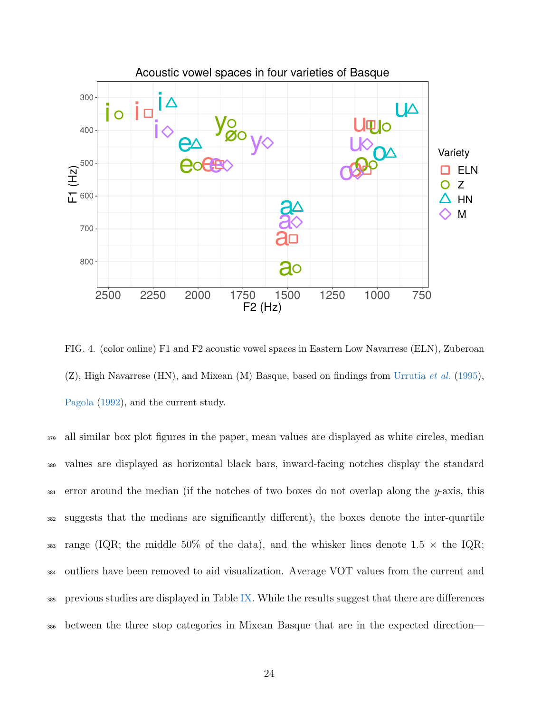

<span id="page-23-0"></span>FIG. 4. (color online) F1 and F2 acoustic vowel spaces in Eastern Low Navarrese (ELN), Zuberoan  $(Z)$ , High Navarrese (HN), and Mixean (M) Basque, based on findings from [Urrutia](#page-44-1) *et al.* [\(1995\)](#page-44-1), [Pagola](#page-43-0) [\(1992\)](#page-43-0), and the current study.

 all similar box plot figures in the paper, mean values are displayed as white circles, median values are displayed as horizontal black bars, inward-facing notches display the standard 381 error around the median (if the notches of two boxes do not overlap along the  $\psi$ -axis, this suggests that the medians are significantly different), the boxes denote the inter-quartile 383 range (IQR; the middle 50% of the data), and the whisker lines denote 1.5  $\times$  the IQR; outliers have been removed to aid visualization. Average VOT values from the current and 385 previous studies are displayed in Table [IX.](#page-25-0) While the results suggest that there are differences between the three stop categories in Mixean Basque that are in the expected direction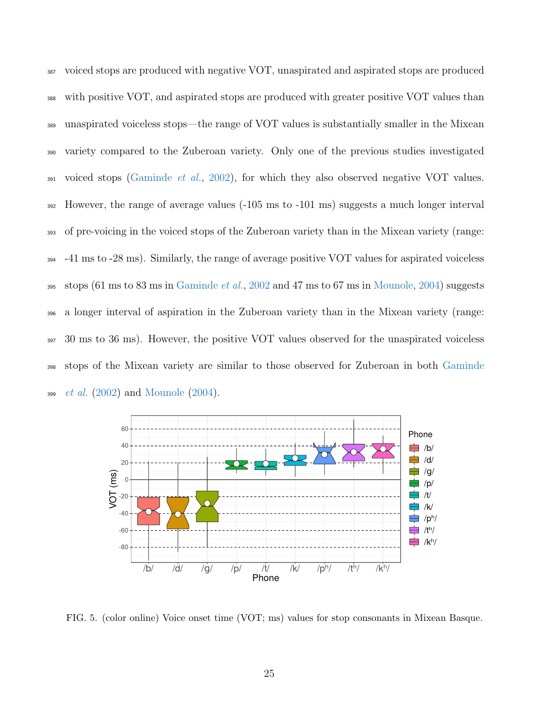voiced stops are produced with negative VOT, unaspirated and aspirated stops are produced with positive VOT, and aspirated stops are produced with greater positive VOT values than unaspirated voiceless stops—the range of VOT values is substantially smaller in the Mixean variety compared to the Zuberoan variety. Only one of the previous studies investigated voiced stops [\(Gaminde](#page-40-5) *et al.*, [2002\)](#page-40-5), for which they also observed negative VOT values. However, the range of average values (-105 ms to -101 ms) suggests a much longer interval of pre-voicing in the voiced stops of the Zuberoan variety than in the Mixean variety (range:  $394 -41$  ms to  $-28$  ms). Similarly, the range of average positive VOT values for aspirated voiceless 395 stops  $(61 \text{ ms to } 83 \text{ ms in }$  [Gaminde](#page-40-5) *et al.*, [2002](#page-40-5) and 47 ms to 67 ms in [Mounole,](#page-42-2) [2004\)](#page-42-2) suggests a longer interval of aspiration in the Zuberoan variety than in the Mixean variety (range: 30 ms to 36 ms). However, the positive VOT values observed for the unaspirated voiceless [s](#page-40-5)tops of the Mixean variety are similar to those observed for Zuberoan in both [Gaminde](#page-40-5) *[et al.](#page-40-5)*  $(2002)$  and [Mounole](#page-42-2)  $(2004)$ .



<span id="page-24-0"></span>FIG. 5. (color online) Voice onset time (VOT; ms) values for stop consonants in Mixean Basque.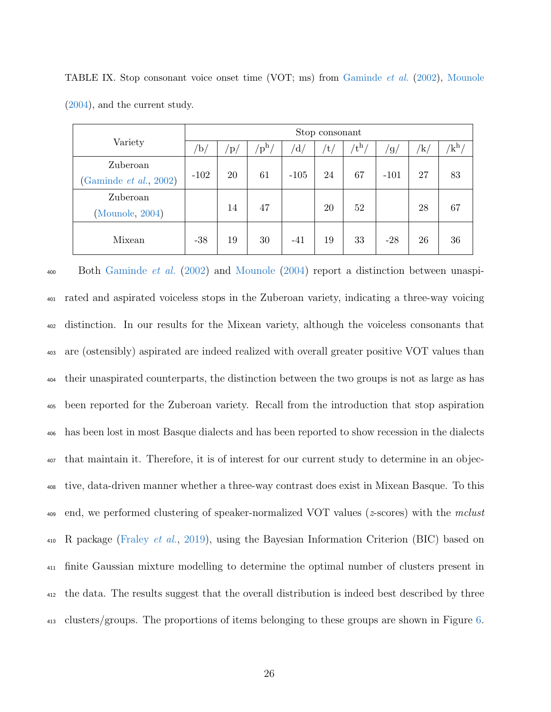|                              | Stop consonant |                     |                                        |                         |     |             |        |               |              |  |
|------------------------------|----------------|---------------------|----------------------------------------|-------------------------|-----|-------------|--------|---------------|--------------|--|
| Variety                      | /b/            | $\mathbf{p}_{\ell}$ | ${}^{\prime}\mathrm{p}^{\mathrm{h}}$ , | $^{\prime}\mathrm{d}$ / | /t, | $t^{\rm h}$ | 'g/    | $^{\prime}$ k | ${'\bf k^h}$ |  |
| Zuberoan                     |                |                     |                                        |                         |     |             |        |               |              |  |
| (Gaminde $et \ al.,\ 2002$ ) | $-102$         | 20                  | 61                                     | $-105$                  | 24  | 67          | $-101$ | 27            | 83           |  |
| Zuberoan                     |                |                     |                                        |                         |     |             |        |               |              |  |
| (Mounole, 2004)              |                | 14                  | 47                                     |                         | 20  | 52          |        | 28            | 67           |  |
| Mixean                       | $-38$          | 19                  | 30                                     | $-41$                   | 19  | 33          | $-28$  | 26            | 36           |  |

<span id="page-25-0"></span>TABLE IX. Stop consonant voice onset time (VOT; ms) from [Gaminde](#page-40-5) et al. [\(2002\)](#page-40-5), [Mounole](#page-42-2) [\(2004\)](#page-42-2), and the current study.

400 Both [Gaminde](#page-40-5) *et al.* [\(2002\)](#page-40-5) and [Mounole](#page-42-2) [\(2004\)](#page-42-2) report a distinction between unaspi- rated and aspirated voiceless stops in the Zuberoan variety, indicating a three-way voicing distinction. In our results for the Mixean variety, although the voiceless consonants that are (ostensibly) aspirated are indeed realized with overall greater positive VOT values than their unaspirated counterparts, the distinction between the two groups is not as large as has been reported for the Zuberoan variety. Recall from the introduction that stop aspiration has been lost in most Basque dialects and has been reported to show recession in the dialects that maintain it. Therefore, it is of interest for our current study to determine in an objec- tive, data-driven manner whether a three-way contrast does exist in Mixean Basque. To this 409 end, we performed clustering of speaker-normalized VOT values ( $z$ -scores) with the mclust  $_{410}$  R package [\(Fraley](#page-40-10) *et al.*, [2019\)](#page-40-10), using the Bayesian Information Criterion (BIC) based on finite Gaussian mixture modelling to determine the optimal number of clusters present in the data. The results suggest that the overall distribution is indeed best described by three <sup>413</sup> clusters/groups. The proportions of items belonging to these groups are shown in Figure [6.](#page-26-0)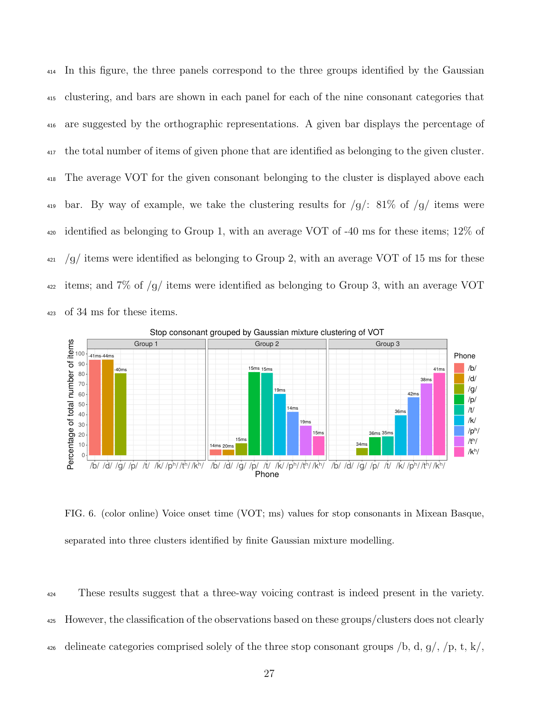In this figure, the three panels correspond to the three groups identified by the Gaussian clustering, and bars are shown in each panel for each of the nine consonant categories that are suggested by the orthographic representations. A given bar displays the percentage of the total number of items of given phone that are identified as belonging to the given cluster. The average VOT for the given consonant belonging to the cluster is displayed above each 419 bar. By way of example, we take the clustering results for  $/g$ : 81\% of  $/g$  items were identified as belonging to Group 1, with an average VOT of -40 ms for these items; 12% of /g/ items were identified as belonging to Group 2, with an average VOT of 15 ms for these  $_{422}$  items; and 7\% of /g/ items were identified as belonging to Group 3, with an average VOT of 34 ms for these items.



<span id="page-26-0"></span>FIG. 6. (color online) Voice onset time (VOT; ms) values for stop consonants in Mixean Basque, separated into three clusters identified by finite Gaussian mixture modelling.

<sup>424</sup> These results suggest that a three-way voicing contrast is indeed present in the variety. <sup>425</sup> However, the classification of the observations based on these groups/clusters does not clearly 426 delineate categories comprised solely of the three stop consonant groups  $\beta$ , d, g,  $\beta$ , t, k,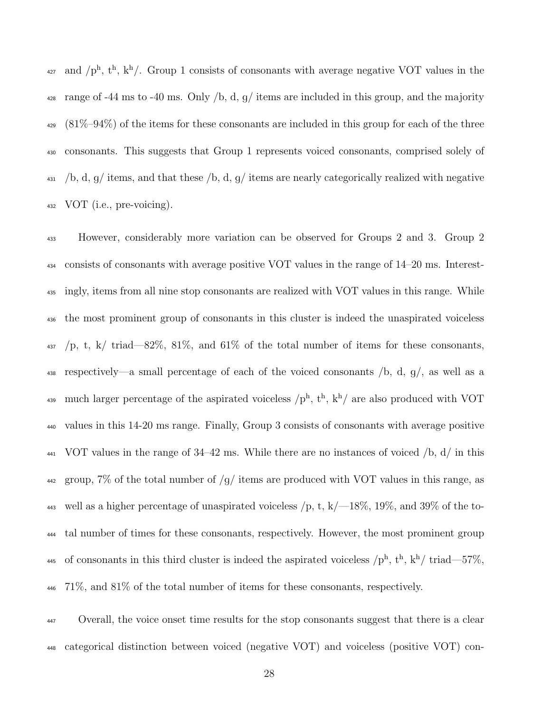<sup>427</sup> and  $/p^h$ ,  $t^h$ ,  $k^h$ . Group 1 consists of consonants with average negative VOT values in the <sup>428</sup> range of -44 ms to -40 ms. Only /b, d, g/ items are included in this group, and the majority  $_{429}$  (81\%-94\%) of the items for these consonants are included in this group for each of the three consonants. This suggests that Group 1 represents voiced consonants, comprised solely of  $\mu_{431}$  /b, d, g/ items, and that these /b, d, g/ items are nearly categorically realized with negative VOT (i.e., pre-voicing).

 However, considerably more variation can be observed for Groups 2 and 3. Group 2 consists of consonants with average positive VOT values in the range of 14–20 ms. Interest- ingly, items from all nine stop consonants are realized with VOT values in this range. While the most prominent group of consonants in this cluster is indeed the unaspirated voiceless /p, t, k/ triad—82%, 81%, and 61% of the total number of items for these consonants, respectively—a small percentage of each of the voiced consonants /b, d, g/, as well as a <sup>439</sup> much larger percentage of the aspirated voiceless  $/p<sup>h</sup>$ ,  $t<sup>h</sup>$ ,  $k<sup>h</sup>$  are also produced with VOT values in this 14-20 ms range. Finally, Group 3 consists of consonants with average positive  $_{441}$  VOT values in the range of 34–42 ms. While there are no instances of voiced  $/b$ , d/ in this 442 group, 7% of the total number of  $/g/\$  items are produced with VOT values in this range, as 443 well as a higher percentage of unaspirated voiceless  $/p$ , t, k $/$ -18%, 19%, and 39% of the to- tal number of times for these consonants, respectively. However, the most prominent group 445 of consonants in this third cluster is indeed the aspirated voiceless  $\pi^{h}$ ,  $t^{h}$ ,  $k^{h}/$  triad—57%, 71%, and 81% of the total number of items for these consonants, respectively.

 Overall, the voice onset time results for the stop consonants suggest that there is a clear categorical distinction between voiced (negative VOT) and voiceless (positive VOT) con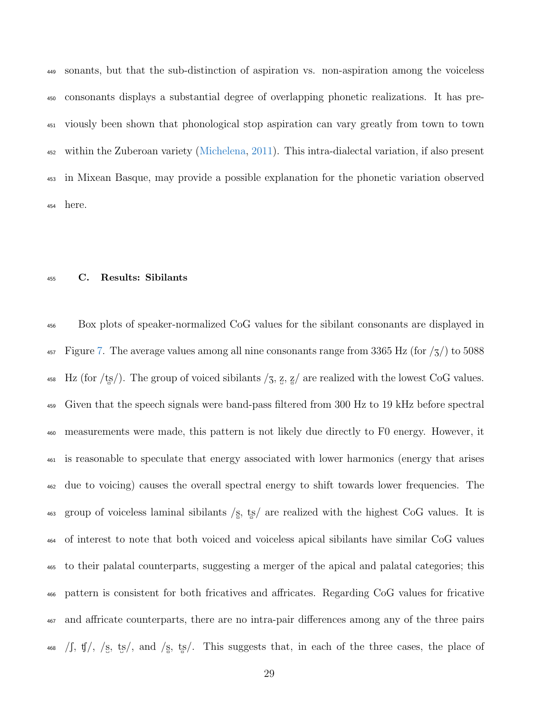sonants, but that the sub-distinction of aspiration vs. non-aspiration among the voiceless consonants displays a substantial degree of overlapping phonetic realizations. It has pre- viously been shown that phonological stop aspiration can vary greatly from town to town within the Zuberoan variety [\(Michelena,](#page-42-0) [2011\)](#page-42-0). This intra-dialectal variation, if also present in Mixean Basque, may provide a possible explanation for the phonetic variation observed here.

## C. Results: Sibilants

 Box plots of speaker-normalized CoG values for the sibilant consonants are displayed in  $_{457}$  Figure [7.](#page-29-0) The average values among all nine consonants range from 3365 Hz (for  $/_5/$ ) to 5088 <sup>458</sup> Hz (for /ts/). The group of voiced sibilants /3, z, z/ are realized with the lowest CoG values. Given that the speech signals were band-pass filtered from 300 Hz to 19 kHz before spectral measurements were made, this pattern is not likely due directly to F0 energy. However, it is reasonable to speculate that energy associated with lower harmonics (energy that arises due to voicing) causes the overall spectral energy to shift towards lower frequencies. The  $\frac{463}{463}$  group of voiceless laminal sibilants  $\frac{1}{5}$ , ts are realized with the highest CoG values. It is of interest to note that both voiced and voiceless apical sibilants have similar CoG values to their palatal counterparts, suggesting a merger of the apical and palatal categories; this pattern is consistent for both fricatives and affricates. Regarding CoG values for fricative and affricate counterparts, there are no intra-pair differences among any of the three pairs  $\sqrt{15}$ ,  $\sqrt{5}$ ,  $\sqrt{5}$ ,  $\sqrt{5}$ ,  $\sqrt{5}$ ,  $\sqrt{5}$ ,  $\sqrt{5}$ ,  $\sqrt{5}$ ,  $\sqrt{5}$ ,  $\sqrt{5}$ ,  $\sqrt{5}$ ,  $\sqrt{5}$ ,  $\sqrt{5}$ ,  $\sqrt{5}$ ,  $\sqrt{5}$ ,  $\sqrt{5}$ ,  $\sqrt{5}$ ,  $\sqrt{5}$ ,  $\sqrt{5}$ ,  $\sqrt{5}$ ,  $\sqrt{5}$ ,  $\sqrt{5}$ ,  $\sqrt{5}$ ,  $\sqrt{5}$ ,  $\sqrt{$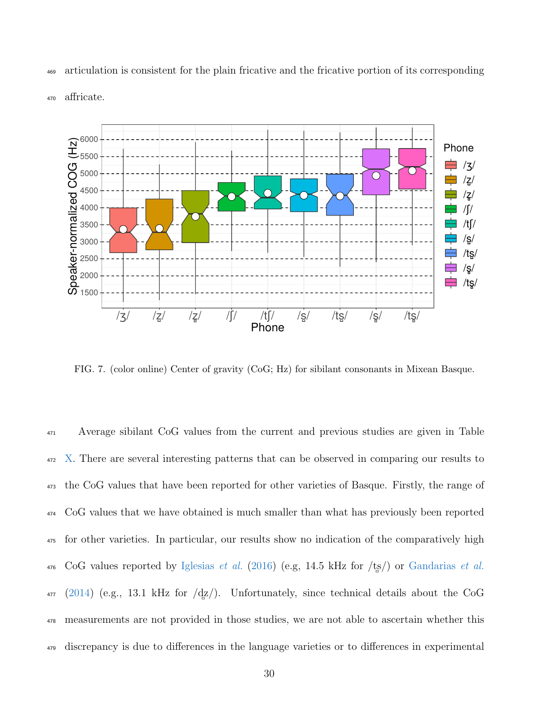

<sup>469</sup> articulation is consistent for the plain fricative and the fricative portion of its corresponding

<sup>470</sup> affricate.

<span id="page-29-0"></span>FIG. 7. (color online) Center of gravity (CoG; Hz) for sibilant consonants in Mixean Basque.

 Average sibilant CoG values from the current and previous studies are given in Table [X.](#page-31-0) There are several interesting patterns that can be observed in comparing our results to the CoG values that have been reported for other varieties of Basque. Firstly, the range of CoG values that we have obtained is much smaller than what has previously been reported for other varieties. In particular, our results show no indication of the comparatively high 476 CoG values reported by [Iglesias](#page-41-7) et al. [\(2016\)](#page-41-7) (e.g, 14.5 kHz for  $/ts$ ) or [Gandarias](#page-41-8) et al. [\(2014\)](#page-41-8) (e.g., 13.1 kHz for  $\frac{dz}{}$ ). Unfortunately, since technical details about the CoG measurements are not provided in those studies, we are not able to ascertain whether this discrepancy is due to differences in the language varieties or to differences in experimental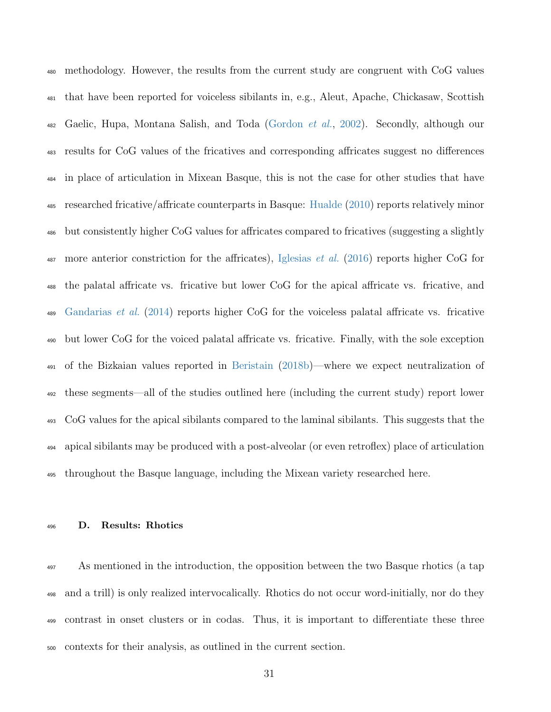methodology. However, the results from the current study are congruent with CoG values that have been reported for voiceless sibilants in, e.g., Aleut, Apache, Chickasaw, Scottish 482 Gaelic, Hupa, Montana Salish, and Toda [\(Gordon](#page-41-9) *et al.*, [2002\)](#page-41-9). Secondly, although our results for CoG values of the fricatives and corresponding affricates suggest no differences in place of articulation in Mixean Basque, this is not the case for other studies that have researched fricative/affricate counterparts in Basque: [Hualde](#page-41-6) [\(2010\)](#page-41-6) reports relatively minor but consistently higher CoG values for affricates compared to fricatives (suggesting a slightly 487 more anterior constriction for the affricates), [Iglesias](#page-41-7) *et al.* [\(2016\)](#page-41-7) reports higher CoG for the palatal affricate vs. fricative but lower CoG for the apical affricate vs. fricative, and [Gandarias](#page-41-8) *et al.* [\(2014\)](#page-41-8) reports higher CoG for the voiceless palatal affricate vs. fricative but lower CoG for the voiced palatal affricate vs. fricative. Finally, with the sole exception of the Bizkaian values reported in [Beristain](#page-38-0) [\(2018b\)](#page-38-0)—where we expect neutralization of these segments—all of the studies outlined here (including the current study) report lower CoG values for the apical sibilants compared to the laminal sibilants. This suggests that the apical sibilants may be produced with a post-alveolar (or even retroflex) place of articulation throughout the Basque language, including the Mixean variety researched here.

## D. Results: Rhotics

 As mentioned in the introduction, the opposition between the two Basque rhotics (a tap and a trill) is only realized intervocalically. Rhotics do not occur word-initially, nor do they contrast in onset clusters or in codas. Thus, it is important to differentiate these three contexts for their analysis, as outlined in the current section.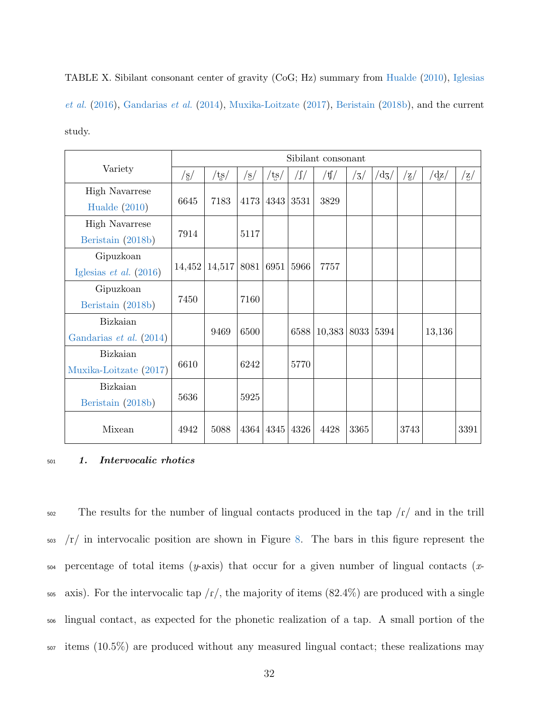<span id="page-31-0"></span>TABLE X. Sibilant consonant center of gravity (CoG; Hz) summary from [Hualde](#page-41-6) [\(2010\)](#page-41-6), [Iglesias](#page-41-7) [et al.](#page-41-7) [\(2016\)](#page-41-7), [Gandarias](#page-41-8) et al. [\(2014\)](#page-41-8), [Muxika-Loitzate](#page-43-5) [\(2017\)](#page-43-5), [Beristain](#page-38-0) [\(2018b\)](#page-38-0), and the current study.

|                            |                      |                |                |                         |               | Sibilant consonant                                                                                                                                                                                                                                                                                                                                                                                                            |      |                    |            |            |      |
|----------------------------|----------------------|----------------|----------------|-------------------------|---------------|-------------------------------------------------------------------------------------------------------------------------------------------------------------------------------------------------------------------------------------------------------------------------------------------------------------------------------------------------------------------------------------------------------------------------------|------|--------------------|------------|------------|------|
| Variety                    | $\sqrt{\frac{g}{2}}$ | $/t_{\rm s}$ / | $/\mathrm{s}/$ | $\mathrm{t}\mathrm{s}/$ | $\sqrt{\int}$ | $/\mathfrak{t}/\mathfrak{g}/\mathfrak{g}/\mathfrak{g}/\mathfrak{g}/\mathfrak{g}/\mathfrak{g}/\mathfrak{g}/\mathfrak{g}/\mathfrak{g}/\mathfrak{g}/\mathfrak{g}/\mathfrak{g}/\mathfrak{g}/\mathfrak{g}/\mathfrak{g}/\mathfrak{g}/\mathfrak{g}/\mathfrak{g}/\mathfrak{g}/\mathfrak{g}/\mathfrak{g}/\mathfrak{g}/\mathfrak{g}/\mathfrak{g}/\mathfrak{g}/\mathfrak{g}/\mathfrak{g}/\mathfrak{g}/\mathfrak{g}/\mathfrak{g}/\mathfr$ | /3/  | $/{\rm d}{\rm 3}/$ | $\rm{z}/z$ | $\rm{d}z/$ | /z/  |
| <b>High Navarrese</b>      |                      |                |                |                         |               |                                                                                                                                                                                                                                                                                                                                                                                                                               |      |                    |            |            |      |
| Hualde $(2010)$            | 6645                 | 7183           |                | 4173 4343               | 3531          | 3829                                                                                                                                                                                                                                                                                                                                                                                                                          |      |                    |            |            |      |
| <b>High Navarrese</b>      |                      |                |                |                         |               |                                                                                                                                                                                                                                                                                                                                                                                                                               |      |                    |            |            |      |
| Beristain (2018b)          | 7914                 |                | 5117           |                         |               |                                                                                                                                                                                                                                                                                                                                                                                                                               |      |                    |            |            |      |
| Gipuzkoan                  |                      |                |                |                         |               |                                                                                                                                                                                                                                                                                                                                                                                                                               |      |                    |            |            |      |
| Iglesias $et \ al. (2016)$ | 14,452               | 14,517         |                | 8081 6951               | 5966          | 7757                                                                                                                                                                                                                                                                                                                                                                                                                          |      |                    |            |            |      |
| Gipuzkoan                  |                      |                |                |                         |               |                                                                                                                                                                                                                                                                                                                                                                                                                               |      |                    |            |            |      |
| Beristain (2018b)          | 7450                 |                | 7160           |                         |               |                                                                                                                                                                                                                                                                                                                                                                                                                               |      |                    |            |            |      |
| Bizkaian                   |                      |                |                |                         |               |                                                                                                                                                                                                                                                                                                                                                                                                                               |      |                    |            |            |      |
| Gandarias et al. (2014)    |                      | 9469           | 6500           |                         | 6588          | 10,383                                                                                                                                                                                                                                                                                                                                                                                                                        | 8033 | 5394               |            | 13,136     |      |
| Bizkaian                   |                      |                |                |                         |               |                                                                                                                                                                                                                                                                                                                                                                                                                               |      |                    |            |            |      |
| Muxika-Loitzate (2017)     | 6610                 |                | 6242           |                         | 5770          |                                                                                                                                                                                                                                                                                                                                                                                                                               |      |                    |            |            |      |
| Bizkaian                   |                      |                |                |                         |               |                                                                                                                                                                                                                                                                                                                                                                                                                               |      |                    |            |            |      |
| Beristain (2018b)          | 5636                 |                | 5925           |                         |               |                                                                                                                                                                                                                                                                                                                                                                                                                               |      |                    |            |            |      |
| Mixean                     | 4942                 | 5088           |                | 4364 4345               | 4326          | 4428                                                                                                                                                                                                                                                                                                                                                                                                                          | 3365 |                    | 3743       |            | 3391 |

## <sup>501</sup> 1. Intervocalic rhotics

 The results for the number of lingual contacts produced in the tap  $\sqrt{r}$  and in the trill /r/ in intervocalic position are shown in Figure [8.](#page-32-0) The bars in this figure represent the  $_{504}$  percentage of total items (y-axis) that occur for a given number of lingual contacts (x- axis). For the intervocalic tap  $/r/$ , the majority of items (82.4%) are produced with a single lingual contact, as expected for the phonetic realization of a tap. A small portion of the items (10.5%) are produced without any measured lingual contact; these realizations may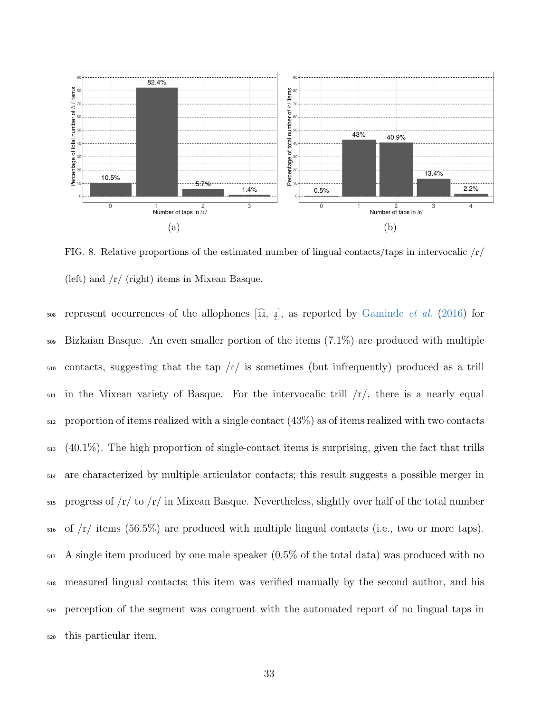

<span id="page-32-0"></span>FIG. 8. Relative proportions of the estimated number of lingual contacts/taps in intervocalic  $\frac{f}{f}$ (left) and /r/ (right) items in Mixean Basque.

sos represent occurrences of the allophones  $[\widehat{\mathfrak{u}}, \underline{\mathfrak{l}}]$ , as reported by [Gaminde](#page-40-9) *et al.* [\(2016\)](#page-40-9) for Bizkaian Basque. An even smaller portion of the items (7.1%) are produced with multiple  $\frac{1}{100}$  contacts, suggesting that the tap /r/ is sometimes (but infrequently) produced as a trill  $_{511}$  in the Mixean variety of Basque. For the intervocalic trill  $/r/$ , there is a nearly equal proportion of items realized with a single contact  $(43\%)$  as of items realized with two contacts (40.1%). The high proportion of single-contact items is surprising, given the fact that trills are characterized by multiple articulator contacts; this result suggests a possible merger in  $_{515}$  progress of  $/r/$  to  $/r/$  in Mixean Basque. Nevertheless, slightly over half of the total number of  $\text{/r/}$  items (56.5%) are produced with multiple lingual contacts (i.e., two or more taps). A single item produced by one male speaker (0.5% of the total data) was produced with no measured lingual contacts; this item was verified manually by the second author, and his perception of the segment was congruent with the automated report of no lingual taps in this particular item.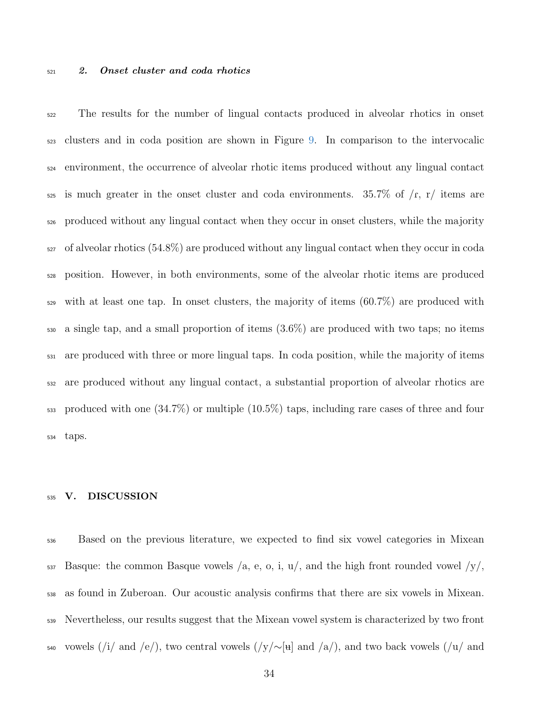#### 2. Onset cluster and coda rhotics

 The results for the number of lingual contacts produced in alveolar rhotics in onset clusters and in coda position are shown in Figure [9.](#page-34-0) In comparison to the intervocalic environment, the occurrence of alveolar rhotic items produced without any lingual contact is much greater in the onset cluster and coda environments. 35.7% of  $\sqrt{r}$ ,  $\frac{r}{r}$  items are produced without any lingual contact when they occur in onset clusters, while the majority of alveolar rhotics (54.8%) are produced without any lingual contact when they occur in coda position. However, in both environments, some of the alveolar rhotic items are produced with at least one tap. In onset clusters, the majority of items  $(60.7\%)$  are produced with a single tap, and a small proportion of items (3.6%) are produced with two taps; no items are produced with three or more lingual taps. In coda position, while the majority of items are produced without any lingual contact, a substantial proportion of alveolar rhotics are produced with one (34.7%) or multiple (10.5%) taps, including rare cases of three and four taps.

## V. DISCUSSION

 Based on the previous literature, we expected to find six vowel categories in Mixean Basque: the common Basque vowels /a, e, o, i, u/, and the high front rounded vowel /y/, as found in Zuberoan. Our acoustic analysis confirms that there are six vowels in Mixean. Nevertheless, our results suggest that the Mixean vowel system is characterized by two front 540 vowels (/i/ and /e/), two central vowels (/y/∼[u] and /a/), and two back vowels (/u/ and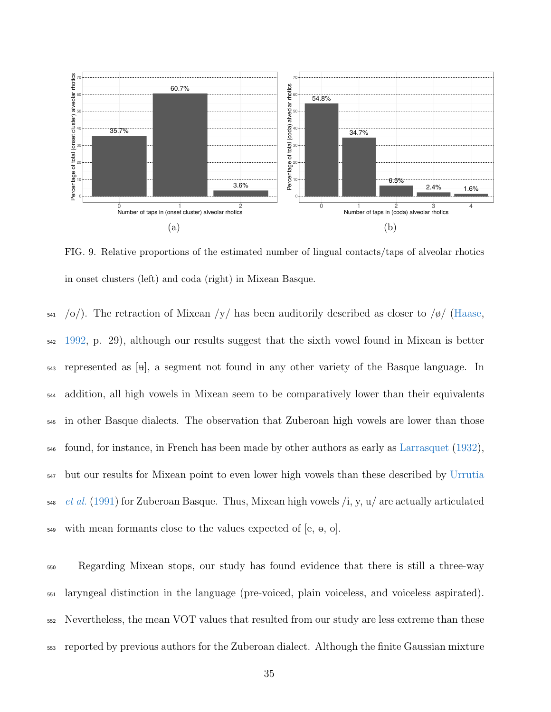

<span id="page-34-0"></span>FIG. 9. Relative proportions of the estimated number of lingual contacts/taps of alveolar rhotics in onset clusters (left) and coda (right) in Mixean Basque.

 $\frac{541}{9}$  /o/). The retraction of Mixean /y/ has been auditorily described as closer to /ø/ [\(Haase,](#page-41-1) <sup>542</sup> [1992,](#page-41-1) p. 29), although our results suggest that the sixth vowel found in Mixean is better  $_{543}$  represented as [ $_{\text{H}}$ ], a segment not found in any other variety of the Basque language. In <sup>544</sup> addition, all high vowels in Mixean seem to be comparatively lower than their equivalents <sup>545</sup> in other Basque dialects. The observation that Zuberoan high vowels are lower than those <sup>546</sup> found, for instance, in French has been made by other authors as early as [Larrasquet](#page-42-8) [\(1932\)](#page-42-8), <sup>547</sup> [b](#page-44-4)ut our results for Mixean point to even lower high vowels than these described by [Urrutia](#page-44-4)  $_{548}$  [et al.](#page-44-4) [\(1991\)](#page-44-4) for Zuberoan Basque. Thus, Mixean high vowels  $\lambda$ , y, u/ are actually articulated  $_{549}$  with mean formants close to the values expected of [e,  $\theta$ , o].

 Regarding Mixean stops, our study has found evidence that there is still a three-way laryngeal distinction in the language (pre-voiced, plain voiceless, and voiceless aspirated). Nevertheless, the mean VOT values that resulted from our study are less extreme than these reported by previous authors for the Zuberoan dialect. Although the finite Gaussian mixture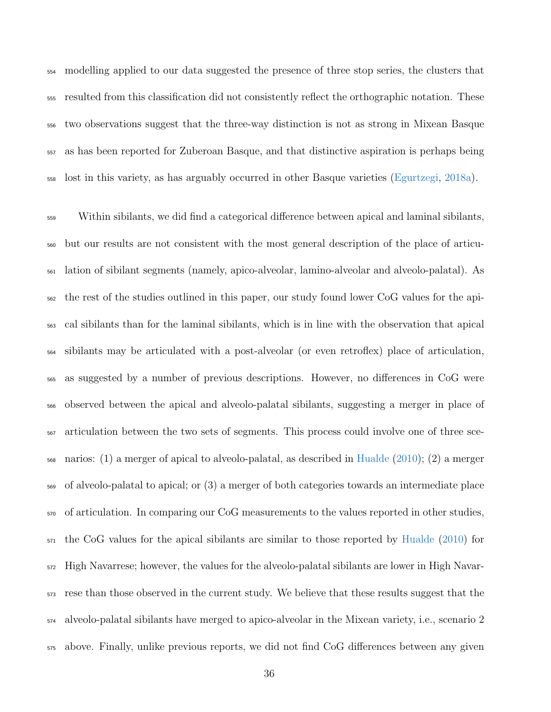modelling applied to our data suggested the presence of three stop series, the clusters that resulted from this classification did not consistently reflect the orthographic notation. These two observations suggest that the three-way distinction is not as strong in Mixean Basque as has been reported for Zuberoan Basque, and that distinctive aspiration is perhaps being lost in this variety, as has arguably occurred in other Basque varieties [\(Egurtzegi,](#page-39-4) [2018a\)](#page-39-4).

 Within sibilants, we did find a categorical difference between apical and laminal sibilants, but our results are not consistent with the most general description of the place of articu- lation of sibilant segments (namely, apico-alveolar, lamino-alveolar and alveolo-palatal). As the rest of the studies outlined in this paper, our study found lower CoG values for the api- cal sibilants than for the laminal sibilants, which is in line with the observation that apical sibilants may be articulated with a post-alveolar (or even retroflex) place of articulation, as suggested by a number of previous descriptions. However, no differences in CoG were observed between the apical and alveolo-palatal sibilants, suggesting a merger in place of articulation between the two sets of segments. This process could involve one of three sce- narios: (1) a merger of apical to alveolo-palatal, as described in [Hualde](#page-41-6) [\(2010\)](#page-41-6); (2) a merger of alveolo-palatal to apical; or (3) a merger of both categories towards an intermediate place of articulation. In comparing our CoG measurements to the values reported in other studies, the CoG values for the apical sibilants are similar to those reported by [Hualde](#page-41-6) [\(2010\)](#page-41-6) for High Navarrese; however, the values for the alveolo-palatal sibilants are lower in High Navar- rese than those observed in the current study. We believe that these results suggest that the alveolo-palatal sibilants have merged to apico-alveolar in the Mixean variety, i.e., scenario 2 above. Finally, unlike previous reports, we did not find CoG differences between any given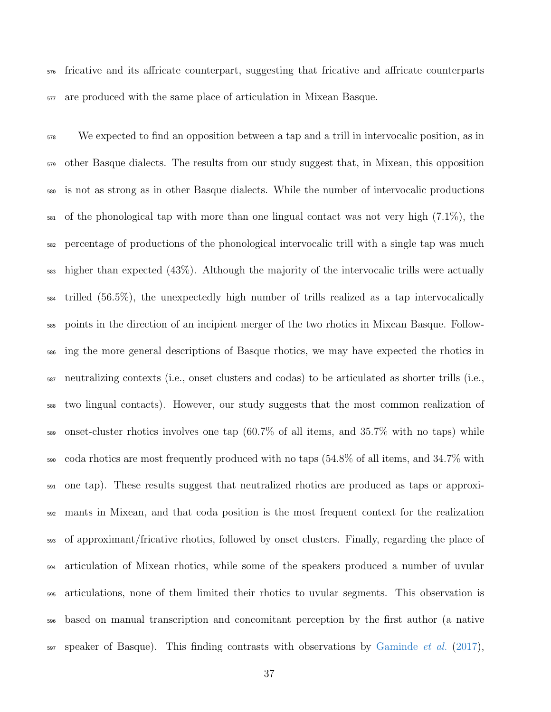fricative and its affricate counterpart, suggesting that fricative and affricate counterparts are produced with the same place of articulation in Mixean Basque.

 We expected to find an opposition between a tap and a trill in intervocalic position, as in <sub>579</sub> other Basque dialects. The results from our study suggest that, in Mixean, this opposition is not as strong as in other Basque dialects. While the number of intervocalic productions  $\frac{581}{100}$  of the phonological tap with more than one lingual contact was not very high (7.1%), the percentage of productions of the phonological intervocalic trill with a single tap was much higher than expected (43%). Although the majority of the intervocalic trills were actually trilled (56.5%), the unexpectedly high number of trills realized as a tap intervocalically points in the direction of an incipient merger of the two rhotics in Mixean Basque. Follow- ing the more general descriptions of Basque rhotics, we may have expected the rhotics in neutralizing contexts (i.e., onset clusters and codas) to be articulated as shorter trills (i.e., two lingual contacts). However, our study suggests that the most common realization of onset-cluster rhotics involves one tap  $(60.7\%$  of all items, and 35.7% with no taps) while coda rhotics are most frequently produced with no taps (54.8% of all items, and 34.7% with one tap). These results suggest that neutralized rhotics are produced as taps or approxi- mants in Mixean, and that coda position is the most frequent context for the realization of approximant/fricative rhotics, followed by onset clusters. Finally, regarding the place of articulation of Mixean rhotics, while some of the speakers produced a number of uvular articulations, none of them limited their rhotics to uvular segments. This observation is based on manual transcription and concomitant perception by the first author (a native  $\epsilon_{597}$  speaker of Basque). This finding contrasts with observations by [Gaminde](#page-40-8) *et al.* [\(2017\)](#page-40-8),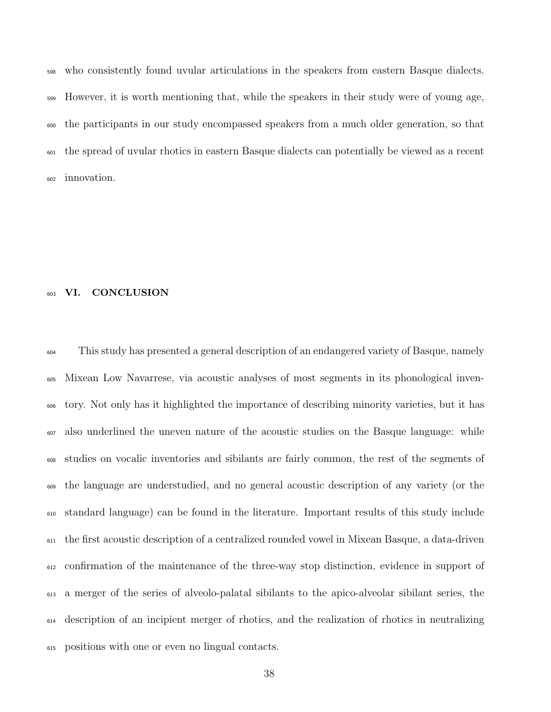who consistently found uvular articulations in the speakers from eastern Basque dialects. However, it is worth mentioning that, while the speakers in their study were of young age, the participants in our study encompassed speakers from a much older generation, so that the spread of uvular rhotics in eastern Basque dialects can potentially be viewed as a recent innovation.

# VI. CONCLUSION

 This study has presented a general description of an endangered variety of Basque, namely Mixean Low Navarrese, via acoustic analyses of most segments in its phonological inven- tory. Not only has it highlighted the importance of describing minority varieties, but it has also underlined the uneven nature of the acoustic studies on the Basque language: while studies on vocalic inventories and sibilants are fairly common, the rest of the segments of the language are understudied, and no general acoustic description of any variety (or the standard language) can be found in the literature. Important results of this study include the first acoustic description of a centralized rounded vowel in Mixean Basque, a data-driven confirmation of the maintenance of the three-way stop distinction, evidence in support of a merger of the series of alveolo-palatal sibilants to the apico-alveolar sibilant series, the description of an incipient merger of rhotics, and the realization of rhotics in neutralizing positions with one or even no lingual contacts.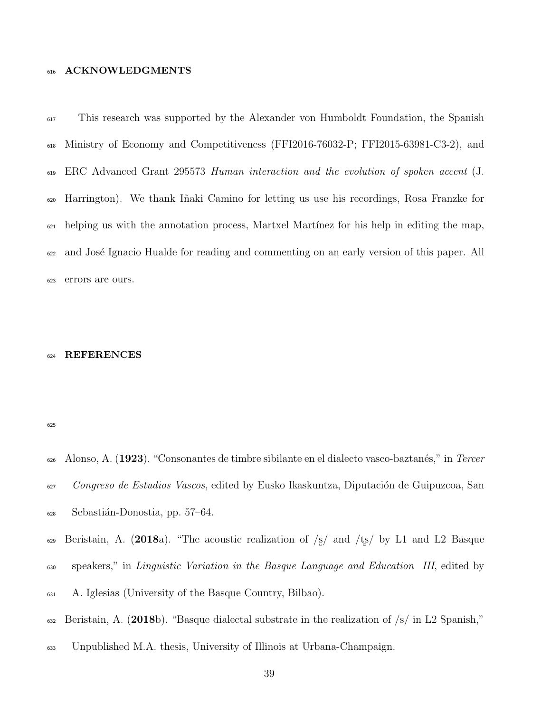## 616 ACKNOWLEDGMENTS

<sup>617</sup> This research was supported by the Alexander von Humboldt Foundation, the Spanish <sup>618</sup> Ministry of Economy and Competitiveness (FFI2016-76032-P; FFI2015-63981-C3-2), and <sup>619</sup> ERC Advanced Grant 295573 Human interaction and the evolution of spoken accent (J. <sup>620</sup> Harrington). We thank I˜naki Camino for letting us use his recordings, Rosa Franzke for  $\epsilon_{21}$  helping us with the annotation process, Martxel Martínez for his help in editing the map, <sup>622</sup> and José Ignacio Hualde for reading and commenting on an early version of this paper. All <sup>623</sup> errors are ours.

## <sup>624</sup> REFERENCES

<span id="page-38-2"></span>625

- <span id="page-38-1"></span> $628$  Sebastián-Donostia, pp. 57–64.
- 629 Beristain, A. (2018a). "The acoustic realization of  $\frac{s}{s}$  and  $\frac{t}{s}$  by L1 and L2 Basque
- <sup>630</sup> speakers," in Linguistic Variation in the Basque Language and Education III, edited by
- <span id="page-38-0"></span><sup>631</sup> A. Iglesias (University of the Basque Country, Bilbao).
- 632 Beristain, A. (2018b). "Basque dialectal substrate in the realization of  $\frac{s}{\sin 2S}$  spanish,"
- <sup>633</sup> Unpublished M.A. thesis, University of Illinois at Urbana-Champaign.

<sup>626</sup> Alonso, A.  $(1923)$ . "Consonantes de timbre sibilante en el dialecto vasco-baztanés," in Tercer <sup>627</sup> Congreso de Estudios Vascos, edited by Eusko Ikaskuntza, Diputación de Guipuzcoa, San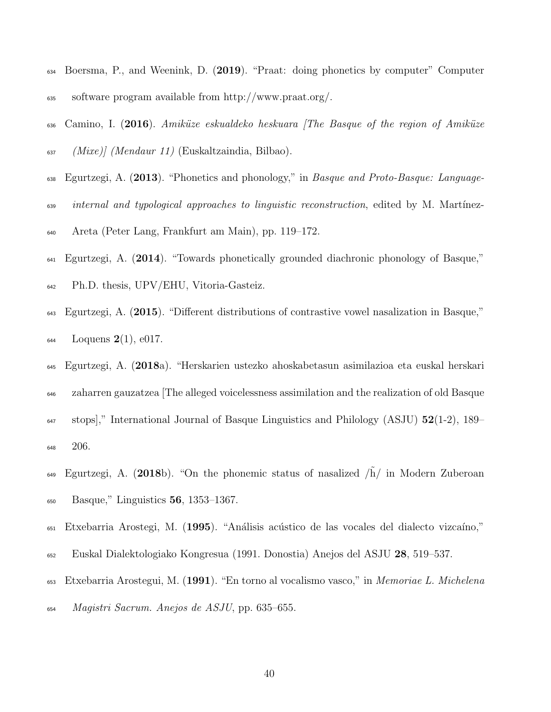- <span id="page-39-8"></span> Boersma, P., and Weenink, D. (2019). "Praat: doing phonetics by computer" Computer software program available from http://www.praat.org/.
- <span id="page-39-0"></span> $\epsilon_{636}$  Camino, I. (2016). Amiküze eskualdeko heskuara [The Basque of the region of Amiküze (Mixe) (Mendaur 11) (Euskaltzaindia, Bilbao).
- <span id="page-39-7"></span><sup>638</sup> Egurtzegi, A. (2013). "Phonetics and phonology," in *Basque and Proto-Basque: Language-*internal and typological approaches to linguistic reconstruction, edited by M. Martínez-
- <span id="page-39-1"></span>Areta (Peter Lang, Frankfurt am Main), pp. 119–172.
- Egurtzegi, A. (2014). "Towards phonetically grounded diachronic phonology of Basque,"
- <span id="page-39-3"></span>Ph.D. thesis, UPV/EHU, Vitoria-Gasteiz.
- Egurtzegi, A. (2015). "Different distributions of contrastive vowel nasalization in Basque,"  $_{644}$  Loquens  $2(1)$ , e017.
- <span id="page-39-4"></span>Egurtzegi, A. (2018a). "Herskarien ustezko ahoskabetasun asimilazioa eta euskal herskari
- zaharren gauzatzea [The alleged voicelessness assimilation and the realization of old Basque  $\frac{647}{20}$  stops]," International Journal of Basque Linguistics and Philology (ASJU)  $52(1-2)$ , 189–
- <span id="page-39-2"></span>206.
- $E_{\text{gurtzegi}}$ , A. (2018b). "On the phonemic status of nasalized  $/\tilde{h}/$  in Modern Zuberoan Basque," Linguistics 56, 1353–1367.
- <span id="page-39-5"></span><sup>651</sup> Etxebarria Arostegi, M. (1995). "Análisis acústico de las vocales del dialecto vizcaíno,"
- <span id="page-39-6"></span>Euskal Dialektologiako Kongresua (1991. Donostia) Anejos del ASJU 28, 519–537.
- Etxebarria Arostegui, M. (1991). "En torno al vocalismo vasco," in Memoriae L. Michelena
- $Magistri$  Sacrum. Anejos de ASJU, pp. 635–655.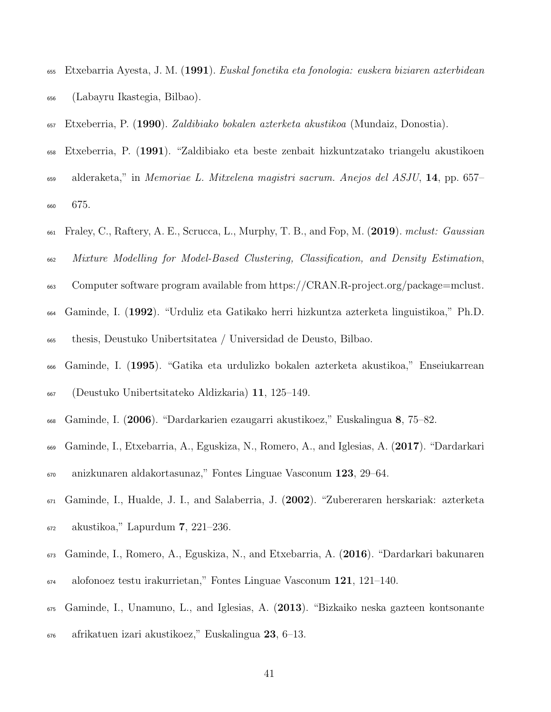- <span id="page-40-0"></span> Etxebarria Ayesta, J. M. (1991). Euskal fonetika eta fonologia: euskera biziaren azterbidean (Labayru Ikastegia, Bilbao).
- <span id="page-40-4"></span><span id="page-40-3"></span>Etxeberria, P. (1990). Zaldibiako bokalen azterketa akustikoa (Mundaiz, Donostia).
- Etxeberria, P. (1991). "Zaldibiako eta beste zenbait hizkuntzatako triangelu akustikoen
- alderaketa," in Memoriae L. Mitxelena magistri sacrum. Anejos del ASJU, 14, pp. 657– 675.
- <span id="page-40-10"></span> $\epsilon_{661}$  Fraley, C., Raftery, A. E., Scrucca, L., Murphy, T. B., and Fop, M. (2019). mclust: Gaussian
- Mixture Modelling for Model-Based Clustering, Classification, and Density Estimation,
- <span id="page-40-1"></span>Computer software program available from https://CRAN.R-project.org/package=mclust.
- Gaminde, I. (1992). "Urduliz eta Gatikako herri hizkuntza azterketa linguistikoa," Ph.D. thesis, Deustuko Unibertsitatea / Universidad de Deusto, Bilbao.
- <span id="page-40-2"></span>Gaminde, I. (1995). "Gatika eta urdulizko bokalen azterketa akustikoa," Enseiukarrean
- <span id="page-40-7"></span>(Deustuko Unibertsitateko Aldizkaria) 11, 125–149.
- <span id="page-40-8"></span>Gaminde, I. (2006). "Dardarkarien ezaugarri akustikoez," Euskalingua 8, 75–82.
- Gaminde, I., Etxebarria, A., Eguskiza, N., Romero, A., and Iglesias, A. (2017). "Dardarkari anizkunaren aldakortasunaz," Fontes Linguae Vasconum 123, 29–64.
- <span id="page-40-5"></span>Gaminde, I., Hualde, J. I., and Salaberria, J. (2002). "Zubereraren herskariak: azterketa
- 
- <span id="page-40-9"></span>akustikoa," Lapurdum 7, 221–236.
- Gaminde, I., Romero, A., Eguskiza, N., and Etxebarria, A. (2016). "Dardarkari bakunaren
- <span id="page-40-6"></span>alofonoez testu irakurrietan," Fontes Linguae Vasconum 121, 121–140.
- Gaminde, I., Unamuno, L., and Iglesias, A. (2013). "Bizkaiko neska gazteen kontsonante
- afrikatuen izari akustikoez," Euskalingua 23, 6–13.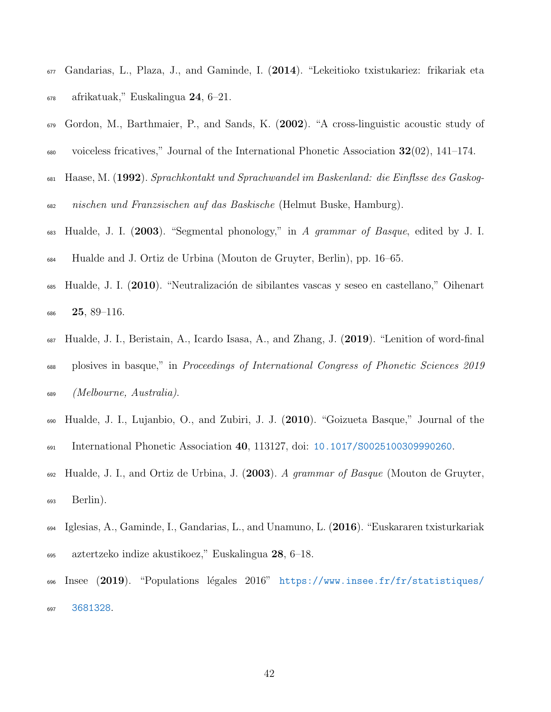- <span id="page-41-8"></span> Gandarias, L., Plaza, J., and Gaminde, I. (2014). "Lekeitioko txistukariez: frikariak eta  $\epsilon_{678}$  afrikatuak," Euskalingua 24, 6–21.
- <span id="page-41-9"></span> Gordon, M., Barthmaier, P., and Sands, K. (2002). "A cross-linguistic acoustic study of  $\frac{680}{141}$  voiceless fricatives," Journal of the International Phonetic Association 32(02), 141–174.
- <span id="page-41-1"></span> Haase, M. (1992). Sprachkontakt und Sprachwandel im Baskenland: die Einflsse des Gaskog-nischen und Franzsischen auf das Baskische (Helmut Buske, Hamburg).
- <span id="page-41-3"></span>683 Hualde, J. I. (2003). "Segmental phonology," in A grammar of Basque, edited by J. I. Hualde and J. Ortiz de Urbina (Mouton de Gruyter, Berlin), pp. 16–65.
- <span id="page-41-6"></span><sup>685</sup> Hualde, J. I. (2010). "Neutralización de sibilantes vascas y seseo en castellano," Oihenart **25**, 89-116.
- <span id="page-41-5"></span> $\frac{687}{2019}$ . Hualde, J. I., Beristain, A., Icardo Isasa, A., and Zhang, J. (2019). "Lenition of word-final plosives in basque," in Proceedings of International Congress of Phonetic Sciences 2019 (Melbourne, Australia).
- <span id="page-41-4"></span> Hualde, J. I., Lujanbio, O., and Zubiri, J. J. (2010). "Goizueta Basque," Journal of the International Phonetic Association 40, 113127, doi: [10.1017/S0025100309990260](http://dx.doi.org/10.1017/S0025100309990260).
- <span id="page-41-0"></span> $\mu_{692}$  Hualde, J. I., and Ortiz de Urbina, J. (2003). A grammar of Basque (Mouton de Gruyter, Berlin).
- <span id="page-41-7"></span>694 Iglesias, A., Gaminde, I., Gandarias, L., and Unamuno, L.  $(2016)$ . "Euskararen txisturkariak aztertzeko indize akustikoez," Euskalingua 28, 6–18.
- <span id="page-41-2"></span>696 [I](http://https://www.insee.fr/fr/statistiques/3681328)nsee  $(2019)$ . "Populations légales  $2016$ " [https://www.insee.fr/fr/statistiques/](http://https://www.insee.fr/fr/statistiques/3681328) [3681328](http://https://www.insee.fr/fr/statistiques/3681328).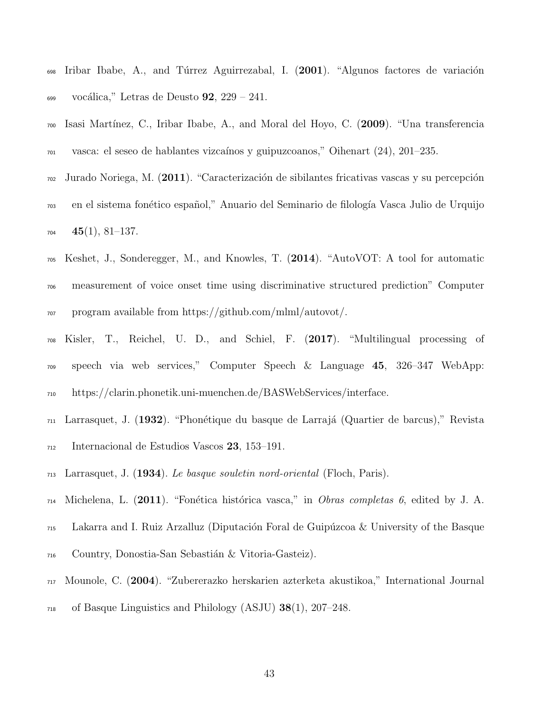- <span id="page-42-1"></span><sup>698</sup> Iribar Ibabe, A., and Túrrez Aguirrezabal, I. (2001). "Algunos factores de variación  $\alpha$ <sub>699</sub> vocálica," Letras de Deusto **92**, 229 – 241.
- <span id="page-42-5"></span><sup>700</sup> Isasi Mart´ınez, C., Iribar Ibabe, A., and Moral del Hoyo, C. (2009). "Una transferencia  $\alpha$ <sup>1</sup> vasca: el seseo de hablantes vizcaínos y guipuzcoanos," Oihenart (24), 201–235.
- <span id="page-42-4"></span> $\sigma$ <sup>2</sup> Jurado Noriega, M. (2011). "Caracterización de sibilantes fricativas vascas y su percepción <sup>703</sup> en el sistema fon´etico espa˜nol," Anuario del Seminario de filolog´ıa Vasca Julio de Urquijo  $704 \quad 45(1), 81-137.$
- <span id="page-42-7"></span><sup>705</sup> Keshet, J., Sonderegger, M., and Knowles, T. (2014). "AutoVOT: A tool for automatic <sup>706</sup> measurement of voice onset time using discriminative structured prediction" Computer <sup>707</sup> program available from https://github.com/mlml/autovot/.
- <span id="page-42-6"></span><sup>708</sup> Kisler, T., Reichel, U. D., and Schiel, F. (2017). "Multilingual processing of <sup>709</sup> speech via web services," Computer Speech & Language 45, 326–347 WebApp: <sup>710</sup> https://clarin.phonetik.uni-muenchen.de/BASWebServices/interface.
- <span id="page-42-8"></span> $_{711}$  Larrasquet, J. (1932). "Phonétique du basque de Larrajá (Quartier de barcus)," Revista
- <span id="page-42-3"></span><sup>712</sup> Internacional de Estudios Vascos 23, 153–191.
- <span id="page-42-0"></span> $_{713}$  Larrasquet, J. (1934). Le basque souletin nord-oriental (Floch, Paris).
- $_{714}$  Michelena, L. (2011). "Fonética histórica vasca," in *Obras completas 6*, edited by J. A.
- $_{715}$  Lakarra and I. Ruiz Arzalluz (Diputación Foral de Guipúzcoa & University of the Basque
- <span id="page-42-2"></span><sup>716</sup> Country, Donostia-San Sebastián & Vitoria-Gasteiz).
- <sup>717</sup> Mounole, C. (2004). "Zubererazko herskarien azterketa akustikoa," International Journal
- <sup>718</sup> of Basque Linguistics and Philology (ASJU) 38(1), 207–248.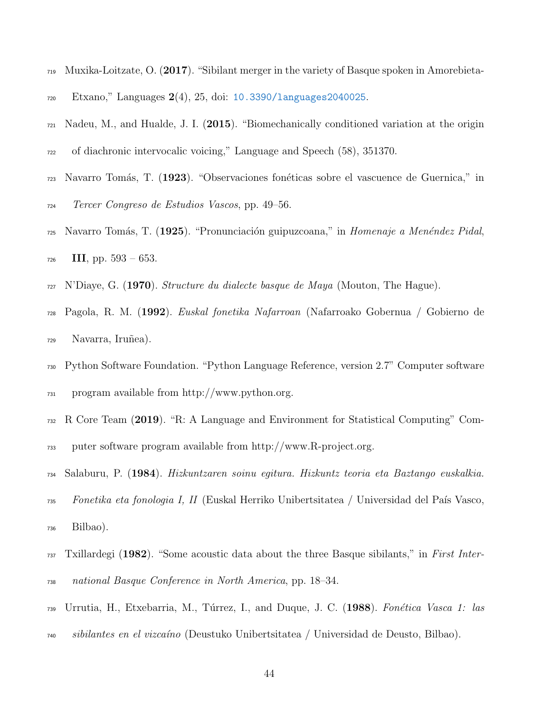- <span id="page-43-5"></span>719 Muxika-Loitzate, O. (2017). "Sibilant merger in the variety of Basque spoken in Amorebieta-
- <span id="page-43-2"></span>Etxano," Languages 2(4), 25, doi: [10.3390/languages2040025](http://dx.doi.org/10.3390/languages2040025).
- $_{721}$  Nadeu, M., and Hualde, J. I. (2015). "Biomechanically conditioned variation at the origin
- <span id="page-43-7"></span>of diachronic intervocalic voicing," Language and Speech (58), 351370.
- Navarro Tom´as, T. (1923). "Observaciones fon´eticas sobre el vascuence de Guernica," in
- <span id="page-43-8"></span>Tercer Congreso de Estudios Vascos, pp. 49–56.
- $\gamma$ <sup>25</sup> Navarro Tomás, T. (1925). "Pronunciación guipuzcoana," in Homenaje a Menéndez Pidal, III, pp.  $593 - 653$ .
- <span id="page-43-3"></span><span id="page-43-0"></span>N'Diaye, G. (1970). *Structure du dialecte basque de Maya* (Mouton, The Hague).
- Pagola, R. M. (1992). Euskal fonetika Nafarroan (Nafarroako Gobernua / Gobierno de  $_{729}$  Navarra, Iruñea).
- <span id="page-43-10"></span> Python Software Foundation. "Python Language Reference, version 2.7" Computer software program available from http://www.python.org.
- <span id="page-43-9"></span>R Core Team (2019). "R: A Language and Environment for Statistical Computing" Com-
- <span id="page-43-1"></span>puter software program available from http://www.R-project.org.
- Salaburu, P. (1984). Hizkuntzaren soinu egitura. Hizkuntz teoria eta Baztango euskalkia.
- $\tau_{35}$  Fonetika eta fonologia I, II (Euskal Herriko Unibertsitatea / Universidad del País Vasco, Bilbao).
- <span id="page-43-4"></span> Txillardegi (1982). "Some acoustic data about the three Basque sibilants," in First Inter-national Basque Conference in North America, pp. 18–34.
- <span id="page-43-6"></span>739 Urrutia, H., Etxebarria, M., Túrrez, I., and Duque, J. C. (1988). Fonética Vasca 1: las
- sibilantes en el vizca´ıno (Deustuko Unibertsitatea / Universidad de Deusto, Bilbao).